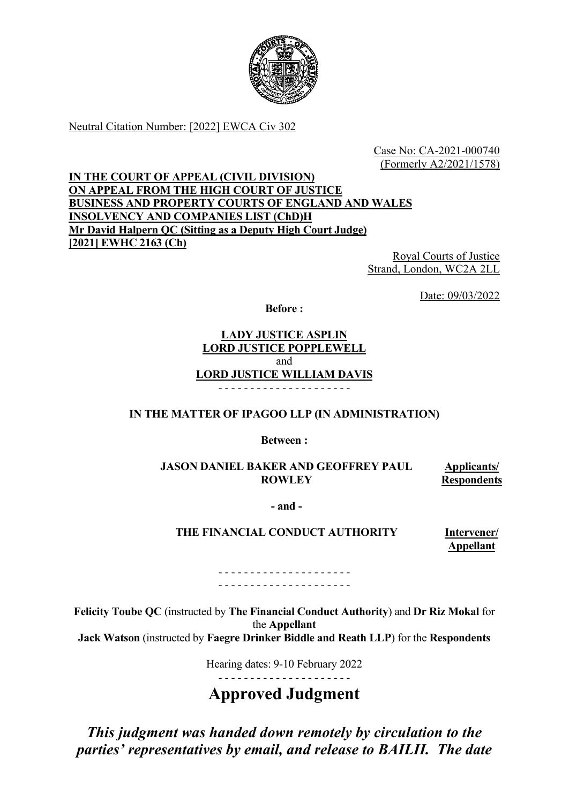

Neutral Citation Number: [2022] EWCA Civ 302

Case No: CA-2021-000740 (Formerly A2/2021/1578)

# **IN THE COURT OF APPEAL (CIVIL DIVISION) ON APPEAL FROM THE HIGH COURT OF JUSTICE BUSINESS AND PROPERTY COURTS OF ENGLAND AND WALES INSOLVENCY AND COMPANIES LIST (ChD)H Mr David Halpern QC (Sitting as a Deputy High Court Judge) [2021] EWHC 2163 (Ch)**

Royal Courts of Justice Strand, London, WC2A 2LL

Date: 09/03/2022

**Before :**

## **LADY JUSTICE ASPLIN LORD JUSTICE POPPLEWELL** and **LORD JUSTICE WILLIAM DAVIS** - - - - - - - - - - - - - - - - - - - - -

# **IN THE MATTER OF IPAGOO LLP (IN ADMINISTRATION)**

**Between :**

**JASON DANIEL BAKER AND GEOFFREY PAUL ROWLEY**

**Applicants/ Respondents**

**- and -**

# **THE FINANCIAL CONDUCT AUTHORITY Intervener/**

**Appellant**

- - - - - - - - - - - - - - - - - - - - - - - - - - - - - - - - - - - - - - - - - -

**Felicity Toube QC** (instructed by **The Financial Conduct Authority**) and **Dr Riz Mokal** for the **Appellant Jack Watson** (instructed by **Faegre Drinker Biddle and Reath LLP**) for the **Respondents**

> Hearing dates: 9-10 February 2022 - - - - - - - - - - - - - - - - - - - - -

# **Approved Judgment**

*This judgment was handed down remotely by circulation to the parties' representatives by email, and release to BAILII. The date*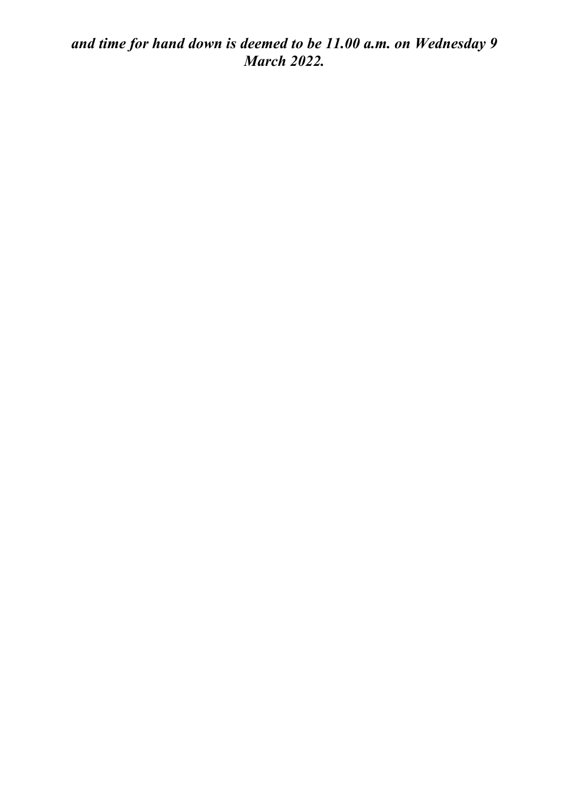*and time for hand down is deemed to be 11.00 a.m. on Wednesday 9 March 2022.*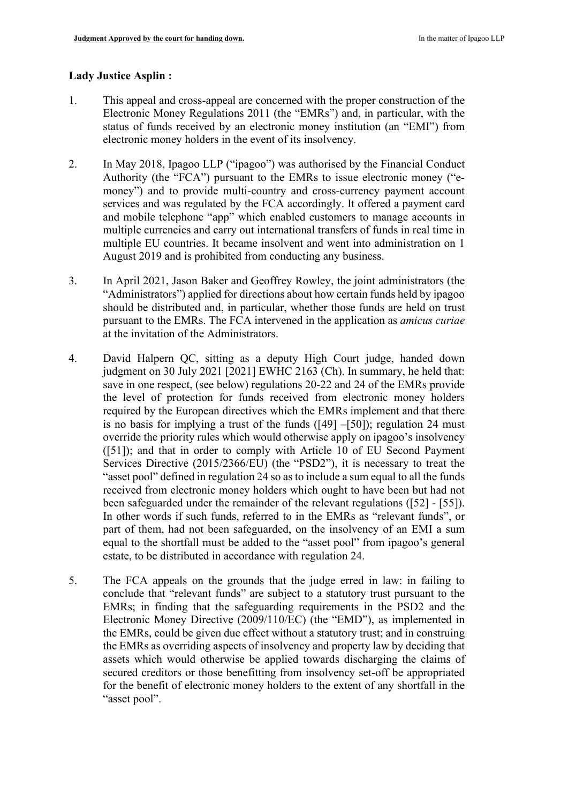#### **Lady Justice Asplin :**

- 1. This appeal and cross-appeal are concerned with the proper construction of the Electronic Money Regulations 2011 (the "EMRs") and, in particular, with the status of funds received by an electronic money institution (an "EMI") from electronic money holders in the event of its insolvency.
- 2. In May 2018, Ipagoo LLP ("ipagoo") was authorised by the Financial Conduct Authority (the "FCA") pursuant to the EMRs to issue electronic money ("emoney") and to provide multi-country and cross-currency payment account services and was regulated by the FCA accordingly. It offered a payment card and mobile telephone "app" which enabled customers to manage accounts in multiple currencies and carry out international transfers of funds in real time in multiple EU countries. It became insolvent and went into administration on 1 August 2019 and is prohibited from conducting any business.
- 3. In April 2021, Jason Baker and Geoffrey Rowley, the joint administrators (the "Administrators") applied for directions about how certain funds held by ipagoo should be distributed and, in particular, whether those funds are held on trust pursuant to the EMRs. The FCA intervened in the application as *amicus curiae* at the invitation of the Administrators.
- 4. David Halpern QC, sitting as a deputy High Court judge, handed down judgment on 30 July 2021 [2021] EWHC 2163 (Ch). In summary, he held that: save in one respect, (see below) regulations 20-22 and 24 of the EMRs provide the level of protection for funds received from electronic money holders required by the European directives which the EMRs implement and that there is no basis for implying a trust of the funds  $(149]$  –[50]); regulation 24 must override the priority rules which would otherwise apply on ipagoo's insolvency ([51]); and that in order to comply with Article 10 of EU Second Payment Services Directive (2015/2366/EU) (the "PSD2"), it is necessary to treat the "asset pool" defined in regulation 24 so as to include a sum equal to all the funds received from electronic money holders which ought to have been but had not been safeguarded under the remainder of the relevant regulations ([52] - [55]). In other words if such funds, referred to in the EMRs as "relevant funds", or part of them, had not been safeguarded, on the insolvency of an EMI a sum equal to the shortfall must be added to the "asset pool" from ipagoo's general estate, to be distributed in accordance with regulation 24.
- 5. The FCA appeals on the grounds that the judge erred in law: in failing to conclude that "relevant funds" are subject to a statutory trust pursuant to the EMRs; in finding that the safeguarding requirements in the PSD2 and the Electronic Money Directive (2009/110/EC) (the "EMD"), as implemented in the EMRs, could be given due effect without a statutory trust; and in construing the EMRs as overriding aspects of insolvency and property law by deciding that assets which would otherwise be applied towards discharging the claims of secured creditors or those benefitting from insolvency set-off be appropriated for the benefit of electronic money holders to the extent of any shortfall in the "asset pool".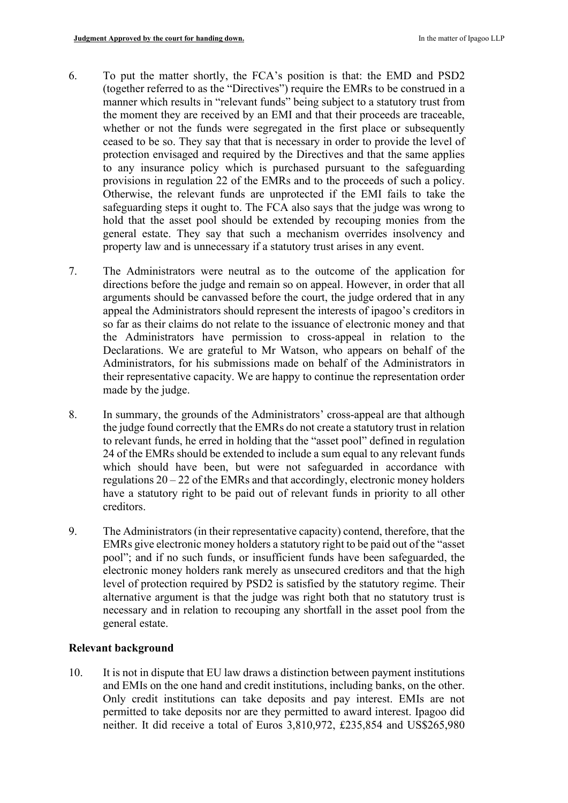- 6. To put the matter shortly, the FCA's position is that: the EMD and PSD2 (together referred to as the "Directives") require the EMRs to be construed in a manner which results in "relevant funds" being subject to a statutory trust from the moment they are received by an EMI and that their proceeds are traceable, whether or not the funds were segregated in the first place or subsequently ceased to be so. They say that that is necessary in order to provide the level of protection envisaged and required by the Directives and that the same applies to any insurance policy which is purchased pursuant to the safeguarding provisions in regulation 22 of the EMRs and to the proceeds of such a policy. Otherwise, the relevant funds are unprotected if the EMI fails to take the safeguarding steps it ought to. The FCA also says that the judge was wrong to hold that the asset pool should be extended by recouping monies from the general estate. They say that such a mechanism overrides insolvency and property law and is unnecessary if a statutory trust arises in any event.
- 7. The Administrators were neutral as to the outcome of the application for directions before the judge and remain so on appeal. However, in order that all arguments should be canvassed before the court, the judge ordered that in any appeal the Administrators should represent the interests of ipagoo's creditors in so far as their claims do not relate to the issuance of electronic money and that the Administrators have permission to cross-appeal in relation to the Declarations. We are grateful to Mr Watson, who appears on behalf of the Administrators, for his submissions made on behalf of the Administrators in their representative capacity. We are happy to continue the representation order made by the judge.
- 8. In summary, the grounds of the Administrators' cross-appeal are that although the judge found correctly that the EMRs do not create a statutory trust in relation to relevant funds, he erred in holding that the "asset pool" defined in regulation 24 of the EMRs should be extended to include a sum equal to any relevant funds which should have been, but were not safeguarded in accordance with regulations 20 – 22 of the EMRs and that accordingly, electronic money holders have a statutory right to be paid out of relevant funds in priority to all other creditors.
- 9. The Administrators (in their representative capacity) contend, therefore, that the EMRs give electronic money holders a statutory right to be paid out of the "asset pool"; and if no such funds, or insufficient funds have been safeguarded, the electronic money holders rank merely as unsecured creditors and that the high level of protection required by PSD2 is satisfied by the statutory regime. Their alternative argument is that the judge was right both that no statutory trust is necessary and in relation to recouping any shortfall in the asset pool from the general estate.

#### **Relevant background**

10. It is not in dispute that EU law draws a distinction between payment institutions and EMIs on the one hand and credit institutions, including banks, on the other. Only credit institutions can take deposits and pay interest. EMIs are not permitted to take deposits nor are they permitted to award interest. Ipagoo did neither. It did receive a total of Euros 3,810,972, £235,854 and US\$265,980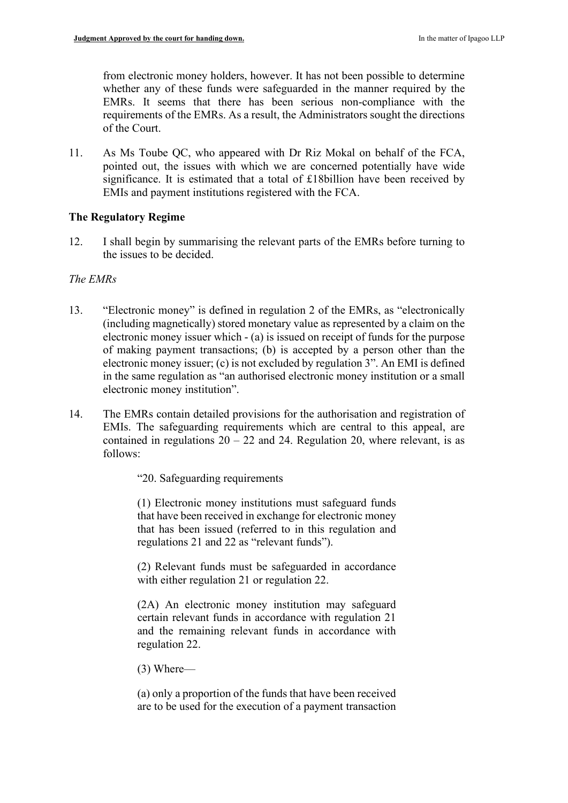from electronic money holders, however. It has not been possible to determine whether any of these funds were safeguarded in the manner required by the EMRs. It seems that there has been serious non-compliance with the requirements of the EMRs. As a result, the Administrators sought the directions of the Court.

11. As Ms Toube QC, who appeared with Dr Riz Mokal on behalf of the FCA, pointed out, the issues with which we are concerned potentially have wide significance. It is estimated that a total of £18billion have been received by EMIs and payment institutions registered with the FCA.

## **The Regulatory Regime**

12. I shall begin by summarising the relevant parts of the EMRs before turning to the issues to be decided.

## *The EMRs*

- 13. "Electronic money" is defined in regulation 2 of the EMRs, as "electronically (including magnetically) stored monetary value as represented by a claim on the electronic money issuer which - (a) is issued on receipt of funds for the purpose of making payment transactions; (b) is accepted by a person other than the electronic money issuer; (c) is not excluded by regulation 3". An EMI is defined in the same regulation as "an authorised electronic money institution or a small electronic money institution".
- 14. The EMRs contain detailed provisions for the authorisation and registration of EMIs. The safeguarding requirements which are central to this appeal, are contained in regulations  $20 - 22$  and 24. Regulation 20, where relevant, is as follows:

"20. Safeguarding requirements

(1) Electronic money institutions must safeguard funds that have been received in exchange for electronic money that has been issued (referred to in this regulation and regulations 21 and 22 as "relevant funds").

(2) Relevant funds must be safeguarded in accordance with either regulation 21 or regulation 22.

(2A) An electronic money institution may safeguard certain relevant funds in accordance with regulation 21 and the remaining relevant funds in accordance with regulation 22.

(3) Where—

(a) only a proportion of the funds that have been received are to be used for the execution of a payment transaction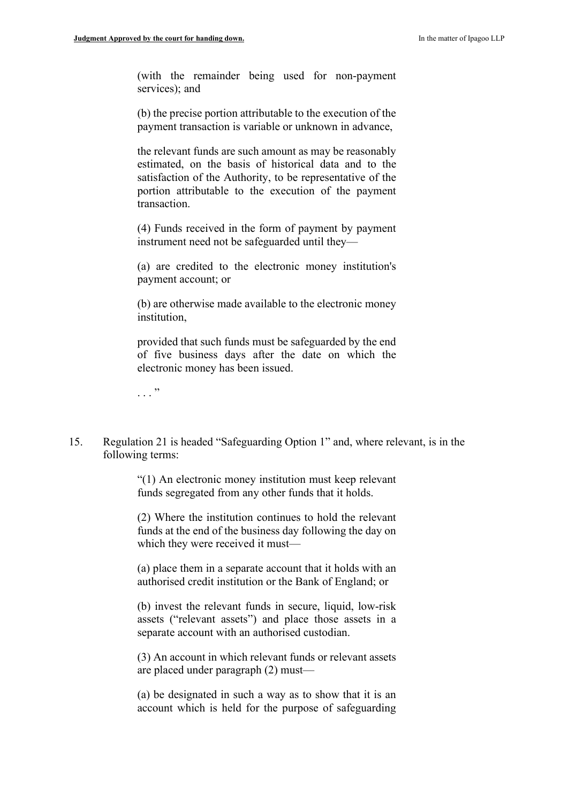(with the remainder being used for non-payment services); and

(b) the precise portion attributable to the execution of the payment transaction is variable or unknown in advance,

the relevant funds are such amount as may be reasonably estimated, on the basis of historical data and to the satisfaction of the Authority, to be representative of the portion attributable to the execution of the payment transaction.

(4) Funds received in the form of payment by payment instrument need not be safeguarded until they—

(a) are credited to the electronic money institution's payment account; or

(b) are otherwise made available to the electronic money institution,

provided that such funds must be safeguarded by the end of five business days after the date on which the electronic money has been issued.

. . . "

15. Regulation 21 is headed "Safeguarding Option 1" and, where relevant, is in the following terms:

> "(1) An electronic money institution must keep relevant funds segregated from any other funds that it holds.

> (2) Where the institution continues to hold the relevant funds at the end of the business day following the day on which they were received it must—

> (a) place them in a separate account that it holds with an authorised credit institution or the Bank of England; or

> (b) invest the relevant funds in secure, liquid, low-risk assets ("relevant assets") and place those assets in a separate account with an authorised custodian.

> (3) An account in which relevant funds or relevant assets are placed under paragraph (2) must—

> (a) be designated in such a way as to show that it is an account which is held for the purpose of safeguarding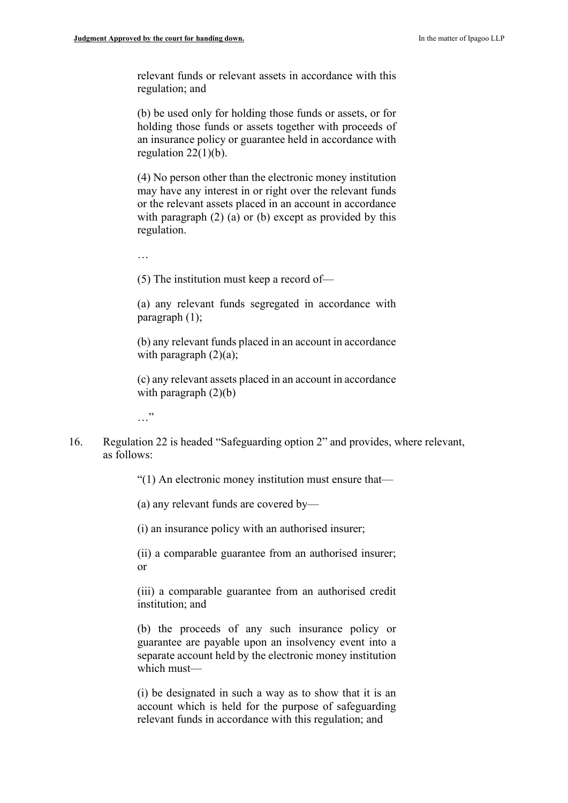relevant funds or relevant assets in accordance with this regulation; and

(b) be used only for holding those funds or assets, or for holding those funds or assets together with proceeds of an insurance policy or guarantee held in accordance with regulation  $22(1)(b)$ .

(4) No person other than the electronic money institution may have any interest in or right over the relevant funds or the relevant assets placed in an account in accordance with paragraph (2) (a) or (b) except as provided by this regulation.

…

(5) The institution must keep a record of—

(a) any relevant funds segregated in accordance with paragraph (1);

(b) any relevant funds placed in an account in accordance with paragraph  $(2)(a)$ ;

(c) any relevant assets placed in an account in accordance with paragraph  $(2)(b)$ 

…"

16. Regulation 22 is headed "Safeguarding option 2" and provides, where relevant, as follows:

"(1) An electronic money institution must ensure that—

(a) any relevant funds are covered by—

(i) an insurance policy with an authorised insurer;

(ii) a comparable guarantee from an authorised insurer; or

(iii) a comparable guarantee from an authorised credit institution; and

(b) the proceeds of any such insurance policy or guarantee are payable upon an insolvency event into a separate account held by the electronic money institution which must—

(i) be designated in such a way as to show that it is an account which is held for the purpose of safeguarding relevant funds in accordance with this regulation; and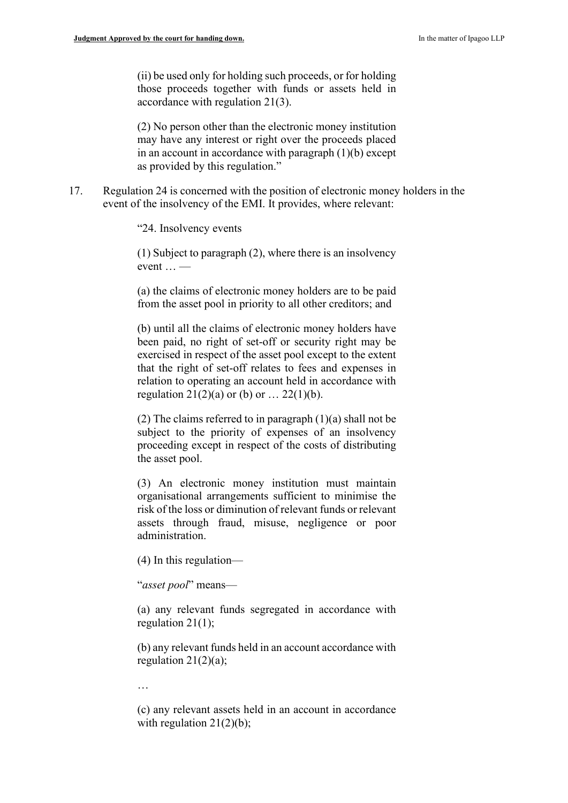(ii) be used only for holding such proceeds, or for holding those proceeds together with funds or assets held in accordance with regulation 21(3).

(2) No person other than the electronic money institution may have any interest or right over the proceeds placed in an account in accordance with paragraph (1)(b) except as provided by this regulation."

17. Regulation 24 is concerned with the position of electronic money holders in the event of the insolvency of the EMI. It provides, where relevant:

"24. Insolvency events

(1) Subject to paragraph (2), where there is an insolvency event … —

(a) the claims of electronic money holders are to be paid from the asset pool in priority to all other creditors; and

(b) until all the claims of electronic money holders have been paid, no right of set-off or security right may be exercised in respect of the asset pool except to the extent that the right of set-off relates to fees and expenses in relation to operating an account held in accordance with regulation  $21(2)(a)$  or (b) or  $\dots 22(1)(b)$ .

(2) The claims referred to in paragraph  $(1)(a)$  shall not be subject to the priority of expenses of an insolvency proceeding except in respect of the costs of distributing the asset pool.

(3) An electronic money institution must maintain organisational arrangements sufficient to minimise the risk of the loss or diminution of relevant funds or relevant assets through fraud, misuse, negligence or poor administration.

(4) In this regulation—

"*asset pool*" means—

(a) any relevant funds segregated in accordance with regulation 21(1);

(b) any relevant funds held in an account accordance with regulation  $21(2)(a)$ ;

…

(c) any relevant assets held in an account in accordance with regulation  $21(2)(b)$ ;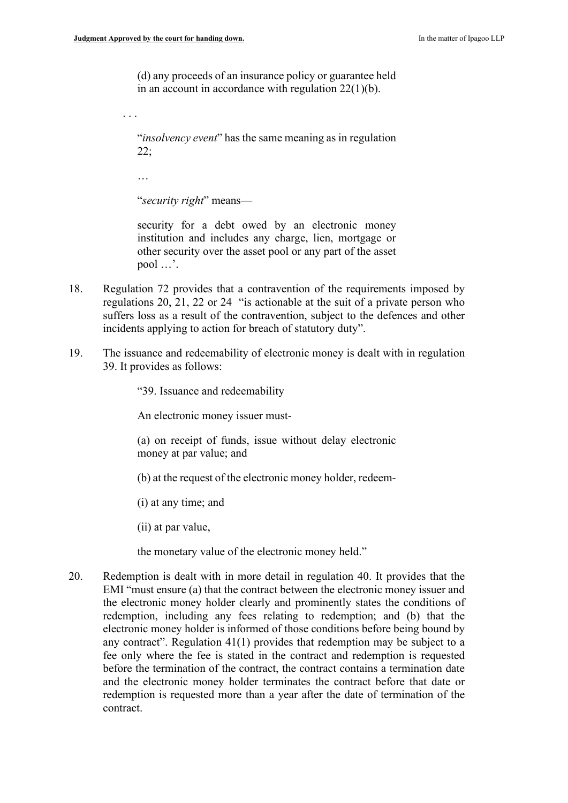(d) any proceeds of an insurance policy or guarantee held in an account in accordance with regulation  $22(1)(b)$ .

"*insolvency event*" has the same meaning as in regulation 22;

…

. . .

"*security right*" means—

security for a debt owed by an electronic money institution and includes any charge, lien, mortgage or other security over the asset pool or any part of the asset pool …'.

- 18. Regulation 72 provides that a contravention of the requirements imposed by regulations 20, 21, 22 or 24 "is actionable at the suit of a private person who suffers loss as a result of the contravention, subject to the defences and other incidents applying to action for breach of statutory duty".
- 19. The issuance and redeemability of electronic money is dealt with in regulation 39. It provides as follows:

"39. Issuance and redeemability

An electronic money issuer must-

(a) on receipt of funds, issue without delay electronic money at par value; and

(b) at the request of the electronic money holder, redeem-

(i) at any time; and

(ii) at par value,

the monetary value of the electronic money held."

20. Redemption is dealt with in more detail in regulation 40. It provides that the EMI "must ensure (a) that the contract between the electronic money issuer and the electronic money holder clearly and prominently states the conditions of redemption, including any fees relating to redemption; and (b) that the electronic money holder is informed of those conditions before being bound by any contract". Regulation 41(1) provides that redemption may be subject to a fee only where the fee is stated in the contract and redemption is requested before the termination of the contract, the contract contains a termination date and the electronic money holder terminates the contract before that date or redemption is requested more than a year after the date of termination of the contract.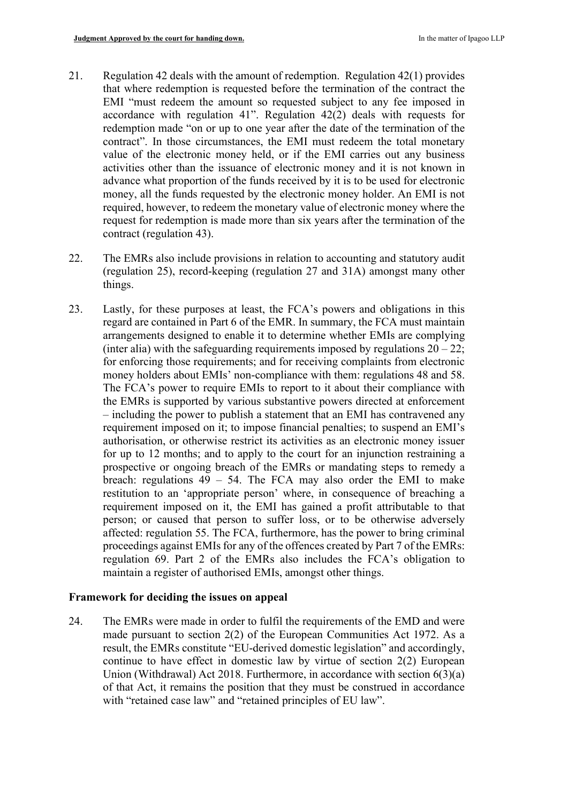- 21. Regulation 42 deals with the amount of redemption. Regulation 42(1) provides that where redemption is requested before the termination of the contract the EMI "must redeem the amount so requested subject to any fee imposed in accordance with regulation 41". Regulation 42(2) deals with requests for redemption made "on or up to one year after the date of the termination of the contract". In those circumstances, the EMI must redeem the total monetary value of the electronic money held, or if the EMI carries out any business activities other than the issuance of electronic money and it is not known in advance what proportion of the funds received by it is to be used for electronic money, all the funds requested by the electronic money holder. An EMI is not required, however, to redeem the monetary value of electronic money where the request for redemption is made more than six years after the termination of the contract (regulation 43).
- 22. The EMRs also include provisions in relation to accounting and statutory audit (regulation 25), record-keeping (regulation 27 and 31A) amongst many other things.
- 23. Lastly, for these purposes at least, the FCA's powers and obligations in this regard are contained in Part 6 of the EMR. In summary, the FCA must maintain arrangements designed to enable it to determine whether EMIs are complying (inter alia) with the safeguarding requirements imposed by regulations  $20 - 22$ ; for enforcing those requirements; and for receiving complaints from electronic money holders about EMIs' non-compliance with them: regulations 48 and 58. The FCA's power to require EMIs to report to it about their compliance with the EMRs is supported by various substantive powers directed at enforcement – including the power to publish a statement that an EMI has contravened any requirement imposed on it; to impose financial penalties; to suspend an EMI's authorisation, or otherwise restrict its activities as an electronic money issuer for up to 12 months; and to apply to the court for an injunction restraining a prospective or ongoing breach of the EMRs or mandating steps to remedy a breach: regulations 49 – 54. The FCA may also order the EMI to make restitution to an 'appropriate person' where, in consequence of breaching a requirement imposed on it, the EMI has gained a profit attributable to that person; or caused that person to suffer loss, or to be otherwise adversely affected: regulation 55. The FCA, furthermore, has the power to bring criminal proceedings against EMIs for any of the offences created by Part 7 of the EMRs: regulation 69. Part 2 of the EMRs also includes the FCA's obligation to maintain a register of authorised EMIs, amongst other things.

#### **Framework for deciding the issues on appeal**

24. The EMRs were made in order to fulfil the requirements of the EMD and were made pursuant to section 2(2) of the European Communities Act 1972. As a result, the EMRs constitute "EU-derived domestic legislation" and accordingly, continue to have effect in domestic law by virtue of section 2(2) European Union (Withdrawal) Act 2018. Furthermore, in accordance with section  $6(3)(a)$ of that Act, it remains the position that they must be construed in accordance with "retained case law" and "retained principles of EU law".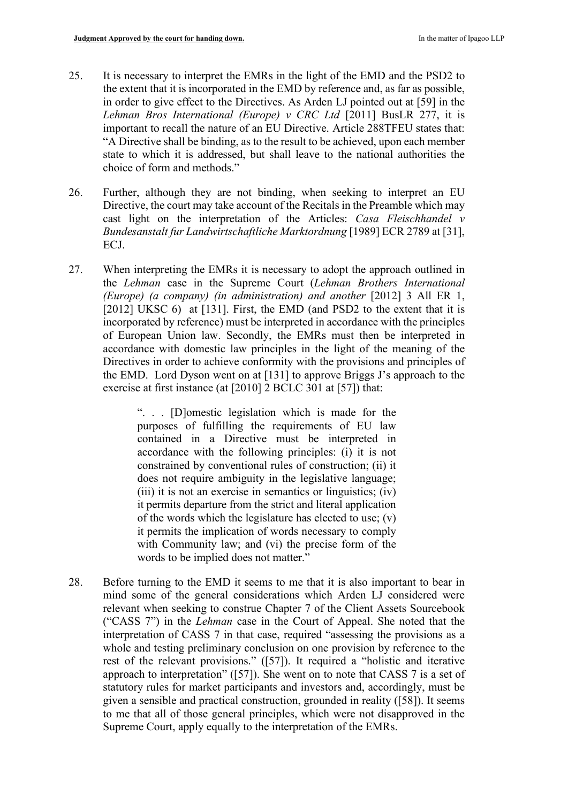- 25. It is necessary to interpret the EMRs in the light of the EMD and the PSD2 to the extent that it is incorporated in the EMD by reference and, as far as possible, in order to give effect to the Directives. As Arden LJ pointed out at [59] in the *Lehman Bros International (Europe) v CRC Ltd* [2011] BusLR 277, it is important to recall the nature of an EU Directive. Article 288TFEU states that: "A Directive shall be binding, as to the result to be achieved, upon each member state to which it is addressed, but shall leave to the national authorities the choice of form and methods."
- 26. Further, although they are not binding, when seeking to interpret an EU Directive, the court may take account of the Recitals in the Preamble which may cast light on the interpretation of the Articles: *Casa Fleischhandel v Bundesanstalt fur Landwirtschaftliche Marktordnung* [1989] ECR 2789 at [31], ECJ.
- 27. When interpreting the EMRs it is necessary to adopt the approach outlined in the *Lehman* case in the Supreme Court (*Lehman Brothers International (Europe) (a company) (in administration) and another* [2012] 3 All ER 1, [2012] UKSC 6) at [131]. First, the EMD (and PSD2 to the extent that it is incorporated by reference) must be interpreted in accordance with the principles of European Union law. Secondly, the EMRs must then be interpreted in accordance with domestic law principles in the light of the meaning of the Directives in order to achieve conformity with the provisions and principles of the EMD. Lord Dyson went on at [131] to approve Briggs J's approach to the exercise at first instance (at [2010] 2 BCLC 301 at [57]) that:

". . . [D]omestic legislation which is made for the purposes of fulfilling the requirements of EU law contained in a Directive must be interpreted in accordance with the following principles: (i) it is not constrained by conventional rules of construction; (ii) it does not require ambiguity in the legislative language; (iii) it is not an exercise in semantics or linguistics; (iv) it permits departure from the strict and literal application of the words which the legislature has elected to use; (v) it permits the implication of words necessary to comply with Community law; and (vi) the precise form of the words to be implied does not matter."

28. Before turning to the EMD it seems to me that it is also important to bear in mind some of the general considerations which Arden LJ considered were relevant when seeking to construe Chapter 7 of the Client Assets Sourcebook ("CASS 7") in the *Lehman* case in the Court of Appeal. She noted that the interpretation of CASS 7 in that case, required "assessing the provisions as a whole and testing preliminary conclusion on one provision by reference to the rest of the relevant provisions." ([57]). It required a "holistic and iterative approach to interpretation" ([57]). She went on to note that CASS 7 is a set of statutory rules for market participants and investors and, accordingly, must be given a sensible and practical construction, grounded in reality ([58]). It seems to me that all of those general principles, which were not disapproved in the Supreme Court, apply equally to the interpretation of the EMRs.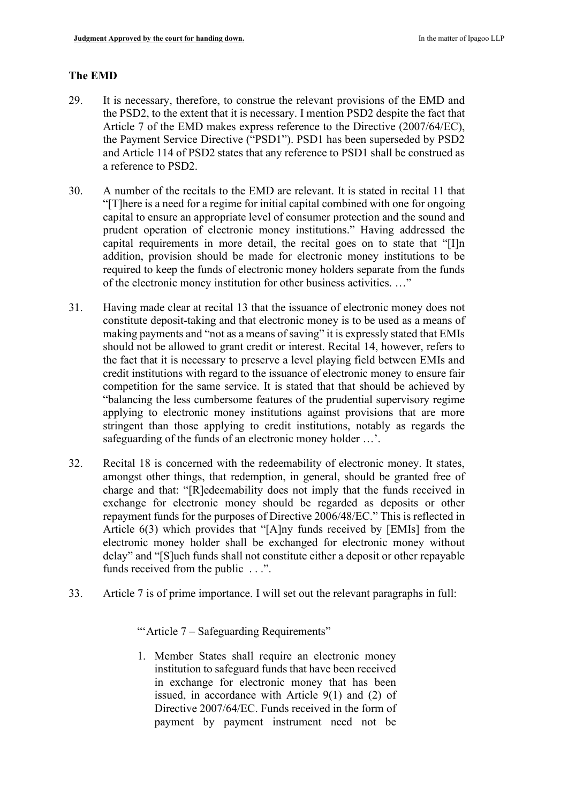## **The EMD**

- 29. It is necessary, therefore, to construe the relevant provisions of the EMD and the PSD2, to the extent that it is necessary. I mention PSD2 despite the fact that Article 7 of the EMD makes express reference to the Directive (2007/64/EC), the Payment Service Directive ("PSD1"). PSD1 has been superseded by PSD2 and Article 114 of PSD2 states that any reference to PSD1 shall be construed as a reference to PSD2.
- 30. A number of the recitals to the EMD are relevant. It is stated in recital 11 that "[T]here is a need for a regime for initial capital combined with one for ongoing capital to ensure an appropriate level of consumer protection and the sound and prudent operation of electronic money institutions." Having addressed the capital requirements in more detail, the recital goes on to state that "[I]n addition, provision should be made for electronic money institutions to be required to keep the funds of electronic money holders separate from the funds of the electronic money institution for other business activities. …"
- 31. Having made clear at recital 13 that the issuance of electronic money does not constitute deposit-taking and that electronic money is to be used as a means of making payments and "not as a means of saving" it is expressly stated that EMIs should not be allowed to grant credit or interest. Recital 14, however, refers to the fact that it is necessary to preserve a level playing field between EMIs and credit institutions with regard to the issuance of electronic money to ensure fair competition for the same service. It is stated that that should be achieved by "balancing the less cumbersome features of the prudential supervisory regime applying to electronic money institutions against provisions that are more stringent than those applying to credit institutions, notably as regards the safeguarding of the funds of an electronic money holder …'.
- 32. Recital 18 is concerned with the redeemability of electronic money. It states, amongst other things, that redemption, in general, should be granted free of charge and that: "[R]edeemability does not imply that the funds received in exchange for electronic money should be regarded as deposits or other repayment funds for the purposes of Directive 2006/48/EC." This is reflected in Article 6(3) which provides that "[A]ny funds received by [EMIs] from the electronic money holder shall be exchanged for electronic money without delay" and "[S]uch funds shall not constitute either a deposit or other repayable funds received from the public . . .".
- 33. Article 7 is of prime importance. I will set out the relevant paragraphs in full:

"'Article 7 – Safeguarding Requirements"

1. Member States shall require an electronic money institution to safeguard funds that have been received in exchange for electronic money that has been issued, in accordance with Article 9(1) and (2) of Directive 2007/64/EC. Funds received in the form of payment by payment instrument need not be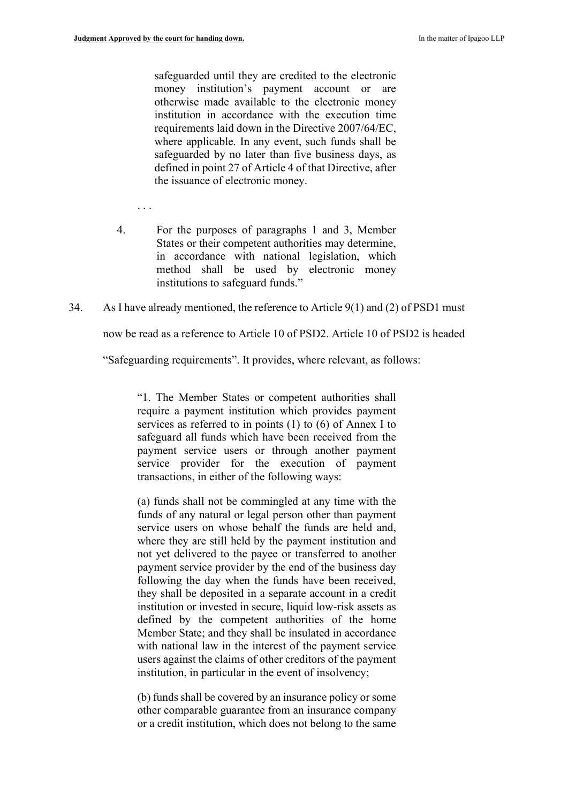. . .

safeguarded until they are credited to the electronic money institution's payment account or are otherwise made available to the electronic money institution in accordance with the execution time requirements laid down in the Directive 2007/64/EC, where applicable. In any event, such funds shall be safeguarded by no later than five business days, as defined in point 27 of Article 4 of that Directive, after the issuance of electronic money.

- 4. For the purposes of paragraphs 1 and 3, Member States or their competent authorities may determine, in accordance with national legislation, which method shall be used by electronic money institutions to safeguard funds."
- 34. As I have already mentioned, the reference to Article 9(1) and (2) of PSD1 must

now be read as a reference to Article 10 of PSD2. Article 10 of PSD2 is headed

"Safeguarding requirements". It provides, where relevant, as follows:

"1. The Member States or competent authorities shall require a payment institution which provides payment services as referred to in points (1) to (6) of Annex I to safeguard all funds which have been received from the payment service users or through another payment service provider for the execution of payment transactions, in either of the following ways:

(a) funds shall not be commingled at any time with the funds of any natural or legal person other than payment service users on whose behalf the funds are held and, where they are still held by the payment institution and not yet delivered to the payee or transferred to another payment service provider by the end of the business day following the day when the funds have been received, they shall be deposited in a separate account in a credit institution or invested in secure, liquid low-risk assets as defined by the competent authorities of the home Member State; and they shall be insulated in accordance with national law in the interest of the payment service users against the claims of other creditors of the payment institution, in particular in the event of insolvency;

(b) funds shall be covered by an insurance policy or some other comparable guarantee from an insurance company or a credit institution, which does not belong to the same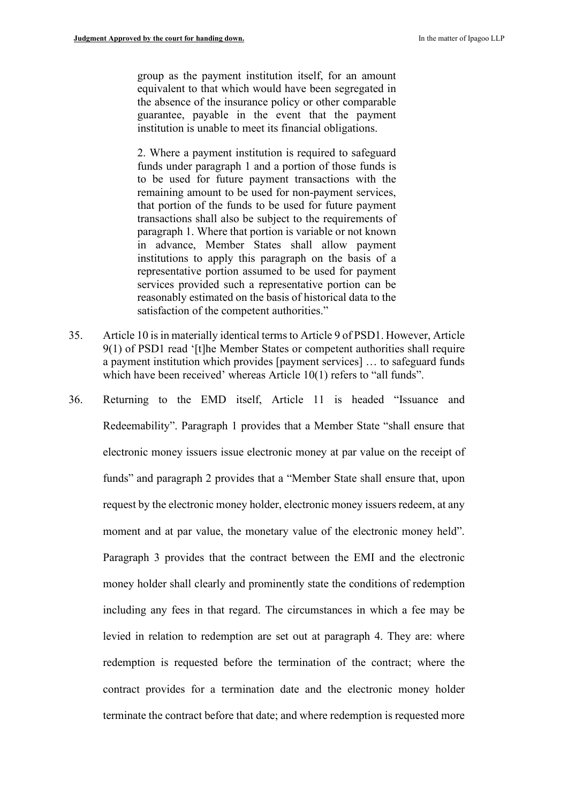group as the payment institution itself, for an amount equivalent to that which would have been segregated in the absence of the insurance policy or other comparable guarantee, payable in the event that the payment institution is unable to meet its financial obligations.

2. Where a payment institution is required to safeguard funds under paragraph 1 and a portion of those funds is to be used for future payment transactions with the remaining amount to be used for non-payment services, that portion of the funds to be used for future payment transactions shall also be subject to the requirements of paragraph 1. Where that portion is variable or not known in advance, Member States shall allow payment institutions to apply this paragraph on the basis of a representative portion assumed to be used for payment services provided such a representative portion can be reasonably estimated on the basis of historical data to the satisfaction of the competent authorities."

- 35. Article 10 is in materially identical terms to Article 9 of PSD1. However, Article 9(1) of PSD1 read '[t]he Member States or competent authorities shall require a payment institution which provides [payment services] … to safeguard funds which have been received' whereas Article 10(1) refers to "all funds".
- 36. Returning to the EMD itself, Article 11 is headed "Issuance and Redeemability". Paragraph 1 provides that a Member State "shall ensure that electronic money issuers issue electronic money at par value on the receipt of funds" and paragraph 2 provides that a "Member State shall ensure that, upon request by the electronic money holder, electronic money issuers redeem, at any moment and at par value, the monetary value of the electronic money held". Paragraph 3 provides that the contract between the EMI and the electronic money holder shall clearly and prominently state the conditions of redemption including any fees in that regard. The circumstances in which a fee may be levied in relation to redemption are set out at paragraph 4. They are: where redemption is requested before the termination of the contract; where the contract provides for a termination date and the electronic money holder terminate the contract before that date; and where redemption is requested more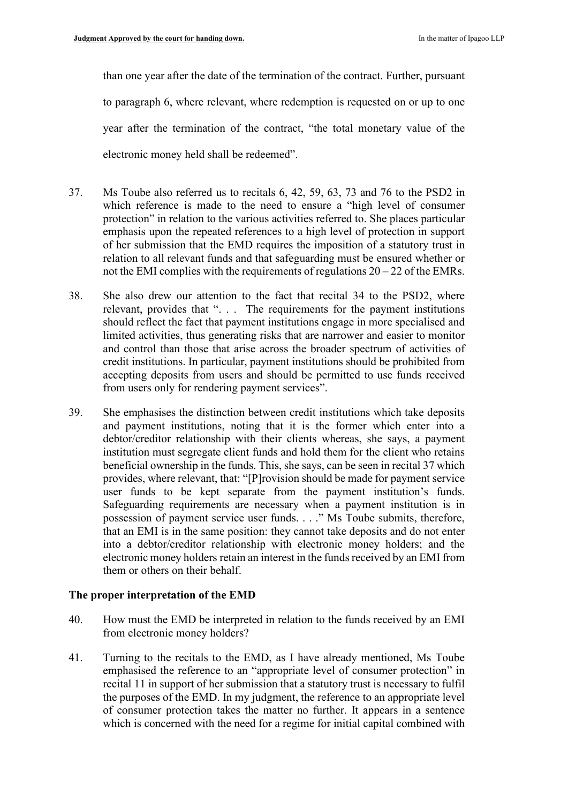than one year after the date of the termination of the contract. Further, pursuant to paragraph 6, where relevant, where redemption is requested on or up to one year after the termination of the contract, "the total monetary value of the electronic money held shall be redeemed".

- 37. Ms Toube also referred us to recitals 6, 42, 59, 63, 73 and 76 to the PSD2 in which reference is made to the need to ensure a "high level of consumer protection" in relation to the various activities referred to. She places particular emphasis upon the repeated references to a high level of protection in support of her submission that the EMD requires the imposition of a statutory trust in relation to all relevant funds and that safeguarding must be ensured whether or not the EMI complies with the requirements of regulations  $20 - 22$  of the EMRs.
- 38. She also drew our attention to the fact that recital 34 to the PSD2, where relevant, provides that ". . . The requirements for the payment institutions should reflect the fact that payment institutions engage in more specialised and limited activities, thus generating risks that are narrower and easier to monitor and control than those that arise across the broader spectrum of activities of credit institutions. In particular, payment institutions should be prohibited from accepting deposits from users and should be permitted to use funds received from users only for rendering payment services".
- 39. She emphasises the distinction between credit institutions which take deposits and payment institutions, noting that it is the former which enter into a debtor/creditor relationship with their clients whereas, she says, a payment institution must segregate client funds and hold them for the client who retains beneficial ownership in the funds. This, she says, can be seen in recital 37 which provides, where relevant, that: "[P]rovision should be made for payment service user funds to be kept separate from the payment institution's funds. Safeguarding requirements are necessary when a payment institution is in possession of payment service user funds. . . ." Ms Toube submits, therefore, that an EMI is in the same position: they cannot take deposits and do not enter into a debtor/creditor relationship with electronic money holders; and the electronic money holders retain an interest in the funds received by an EMI from them or others on their behalf.

#### **The proper interpretation of the EMD**

- 40. How must the EMD be interpreted in relation to the funds received by an EMI from electronic money holders?
- 41. Turning to the recitals to the EMD, as I have already mentioned, Ms Toube emphasised the reference to an "appropriate level of consumer protection" in recital 11 in support of her submission that a statutory trust is necessary to fulfil the purposes of the EMD. In my judgment, the reference to an appropriate level of consumer protection takes the matter no further. It appears in a sentence which is concerned with the need for a regime for initial capital combined with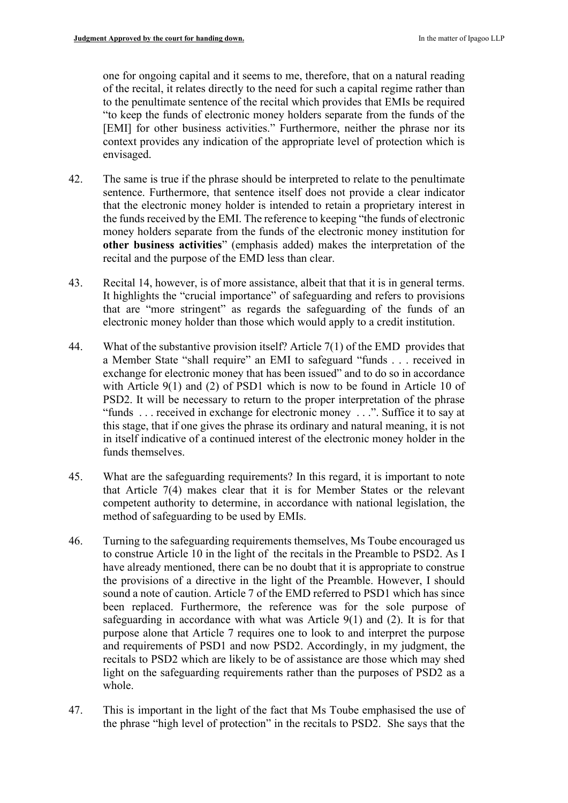one for ongoing capital and it seems to me, therefore, that on a natural reading of the recital, it relates directly to the need for such a capital regime rather than to the penultimate sentence of the recital which provides that EMIs be required "to keep the funds of electronic money holders separate from the funds of the [EMI] for other business activities." Furthermore, neither the phrase nor its context provides any indication of the appropriate level of protection which is envisaged.

- 42. The same is true if the phrase should be interpreted to relate to the penultimate sentence. Furthermore, that sentence itself does not provide a clear indicator that the electronic money holder is intended to retain a proprietary interest in the funds received by the EMI. The reference to keeping "the funds of electronic money holders separate from the funds of the electronic money institution for **other business activities**" (emphasis added) makes the interpretation of the recital and the purpose of the EMD less than clear.
- 43. Recital 14, however, is of more assistance, albeit that that it is in general terms. It highlights the "crucial importance" of safeguarding and refers to provisions that are "more stringent" as regards the safeguarding of the funds of an electronic money holder than those which would apply to a credit institution.
- 44. What of the substantive provision itself? Article 7(1) of the EMD provides that a Member State "shall require" an EMI to safeguard "funds . . . received in exchange for electronic money that has been issued" and to do so in accordance with Article 9(1) and (2) of PSD1 which is now to be found in Article 10 of PSD2. It will be necessary to return to the proper interpretation of the phrase "funds . . . received in exchange for electronic money . . .". Suffice it to say at this stage, that if one gives the phrase its ordinary and natural meaning, it is not in itself indicative of a continued interest of the electronic money holder in the funds themselves.
- 45. What are the safeguarding requirements? In this regard, it is important to note that Article 7(4) makes clear that it is for Member States or the relevant competent authority to determine, in accordance with national legislation, the method of safeguarding to be used by EMIs.
- 46. Turning to the safeguarding requirements themselves, Ms Toube encouraged us to construe Article 10 in the light of the recitals in the Preamble to PSD2. As I have already mentioned, there can be no doubt that it is appropriate to construe the provisions of a directive in the light of the Preamble. However, I should sound a note of caution. Article 7 of the EMD referred to PSD1 which has since been replaced. Furthermore, the reference was for the sole purpose of safeguarding in accordance with what was Article 9(1) and (2). It is for that purpose alone that Article 7 requires one to look to and interpret the purpose and requirements of PSD1 and now PSD2. Accordingly, in my judgment, the recitals to PSD2 which are likely to be of assistance are those which may shed light on the safeguarding requirements rather than the purposes of PSD2 as a whole.
- 47. This is important in the light of the fact that Ms Toube emphasised the use of the phrase "high level of protection" in the recitals to PSD2. She says that the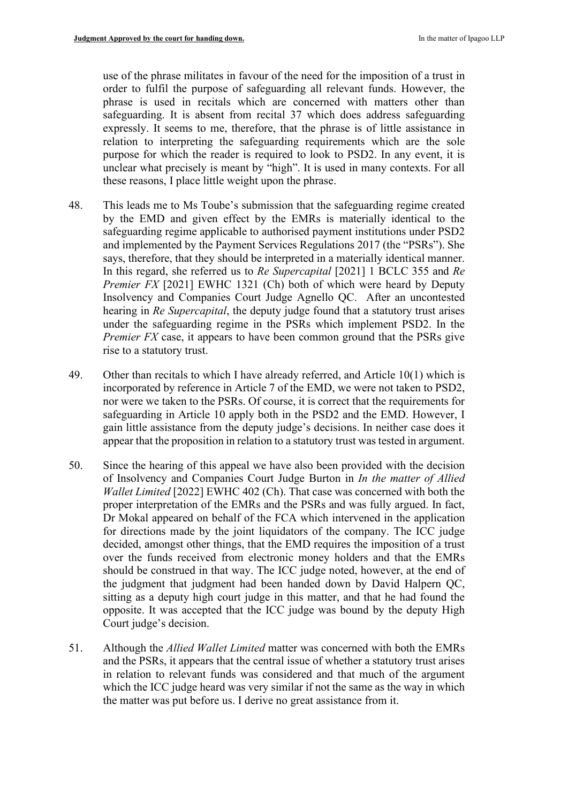use of the phrase militates in favour of the need for the imposition of a trust in order to fulfil the purpose of safeguarding all relevant funds. However, the phrase is used in recitals which are concerned with matters other than safeguarding. It is absent from recital 37 which does address safeguarding expressly. It seems to me, therefore, that the phrase is of little assistance in relation to interpreting the safeguarding requirements which are the sole purpose for which the reader is required to look to PSD2. In any event, it is unclear what precisely is meant by "high". It is used in many contexts. For all these reasons, I place little weight upon the phrase.

- 48. This leads me to Ms Toube's submission that the safeguarding regime created by the EMD and given effect by the EMRs is materially identical to the safeguarding regime applicable to authorised payment institutions under PSD2 and implemented by the Payment Services Regulations 2017 (the "PSRs"). She says, therefore, that they should be interpreted in a materially identical manner. In this regard, she referred us to *Re Supercapital* [2021] 1 BCLC 355 and *Re Premier FX* [2021] EWHC 1321 (Ch) both of which were heard by Deputy Insolvency and Companies Court Judge Agnello QC. After an uncontested hearing in *Re Supercapital*, the deputy judge found that a statutory trust arises under the safeguarding regime in the PSRs which implement PSD2. In the *Premier FX* case, it appears to have been common ground that the PSRs give rise to a statutory trust.
- 49. Other than recitals to which I have already referred, and Article 10(1) which is incorporated by reference in Article 7 of the EMD, we were not taken to PSD2, nor were we taken to the PSRs. Of course, it is correct that the requirements for safeguarding in Article 10 apply both in the PSD2 and the EMD. However, I gain little assistance from the deputy judge's decisions. In neither case does it appear that the proposition in relation to a statutory trust was tested in argument.
- 50. Since the hearing of this appeal we have also been provided with the decision of Insolvency and Companies Court Judge Burton in *In the matter of Allied Wallet Limited* [2022] EWHC 402 (Ch). That case was concerned with both the proper interpretation of the EMRs and the PSRs and was fully argued. In fact, Dr Mokal appeared on behalf of the FCA which intervened in the application for directions made by the joint liquidators of the company. The ICC judge decided, amongst other things, that the EMD requires the imposition of a trust over the funds received from electronic money holders and that the EMRs should be construed in that way. The ICC judge noted, however, at the end of the judgment that judgment had been handed down by David Halpern QC, sitting as a deputy high court judge in this matter, and that he had found the opposite. It was accepted that the ICC judge was bound by the deputy High Court judge's decision.
- 51. Although the *Allied Wallet Limited* matter was concerned with both the EMRs and the PSRs, it appears that the central issue of whether a statutory trust arises in relation to relevant funds was considered and that much of the argument which the ICC judge heard was very similar if not the same as the way in which the matter was put before us. I derive no great assistance from it.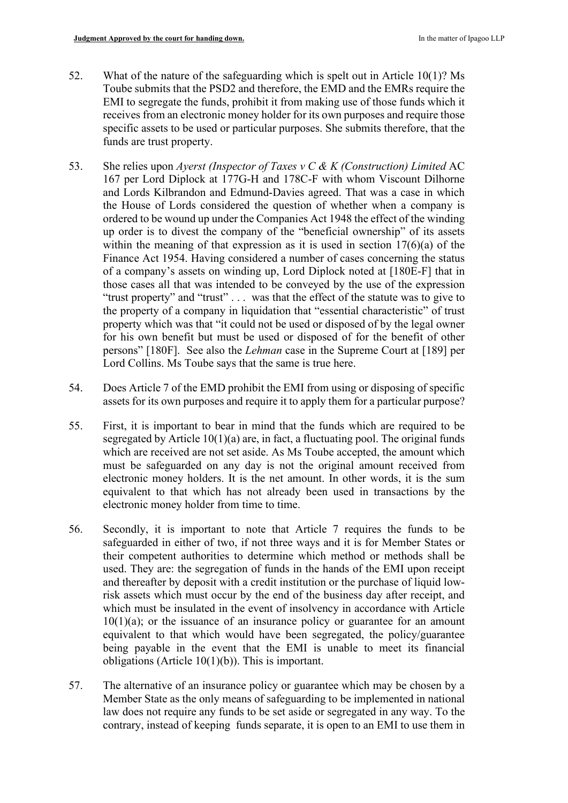- 52. What of the nature of the safeguarding which is spelt out in Article 10(1)? Ms Toube submits that the PSD2 and therefore, the EMD and the EMRs require the EMI to segregate the funds, prohibit it from making use of those funds which it receives from an electronic money holder for its own purposes and require those specific assets to be used or particular purposes. She submits therefore, that the funds are trust property.
- 53. She relies upon *Ayerst (Inspector of Taxes v C & K (Construction) Limited* AC 167 per Lord Diplock at 177G-H and 178C-F with whom Viscount Dilhorne and Lords Kilbrandon and Edmund-Davies agreed. That was a case in which the House of Lords considered the question of whether when a company is ordered to be wound up under the Companies Act 1948 the effect of the winding up order is to divest the company of the "beneficial ownership" of its assets within the meaning of that expression as it is used in section  $17(6)(a)$  of the Finance Act 1954. Having considered a number of cases concerning the status of a company's assets on winding up, Lord Diplock noted at [180E-F] that in those cases all that was intended to be conveyed by the use of the expression "trust property" and "trust" . . . was that the effect of the statute was to give to the property of a company in liquidation that "essential characteristic" of trust property which was that "it could not be used or disposed of by the legal owner for his own benefit but must be used or disposed of for the benefit of other persons" [180F]. See also the *Lehman* case in the Supreme Court at [189] per Lord Collins. Ms Toube says that the same is true here.
- 54. Does Article 7 of the EMD prohibit the EMI from using or disposing of specific assets for its own purposes and require it to apply them for a particular purpose?
- 55. First, it is important to bear in mind that the funds which are required to be segregated by Article  $10(1)(a)$  are, in fact, a fluctuating pool. The original funds which are received are not set aside. As Ms Toube accepted, the amount which must be safeguarded on any day is not the original amount received from electronic money holders. It is the net amount. In other words, it is the sum equivalent to that which has not already been used in transactions by the electronic money holder from time to time.
- 56. Secondly, it is important to note that Article 7 requires the funds to be safeguarded in either of two, if not three ways and it is for Member States or their competent authorities to determine which method or methods shall be used. They are: the segregation of funds in the hands of the EMI upon receipt and thereafter by deposit with a credit institution or the purchase of liquid lowrisk assets which must occur by the end of the business day after receipt, and which must be insulated in the event of insolvency in accordance with Article  $10(1)(a)$ ; or the issuance of an insurance policy or guarantee for an amount equivalent to that which would have been segregated, the policy/guarantee being payable in the event that the EMI is unable to meet its financial obligations (Article 10(1)(b)). This is important.
- 57. The alternative of an insurance policy or guarantee which may be chosen by a Member State as the only means of safeguarding to be implemented in national law does not require any funds to be set aside or segregated in any way. To the contrary, instead of keeping funds separate, it is open to an EMI to use them in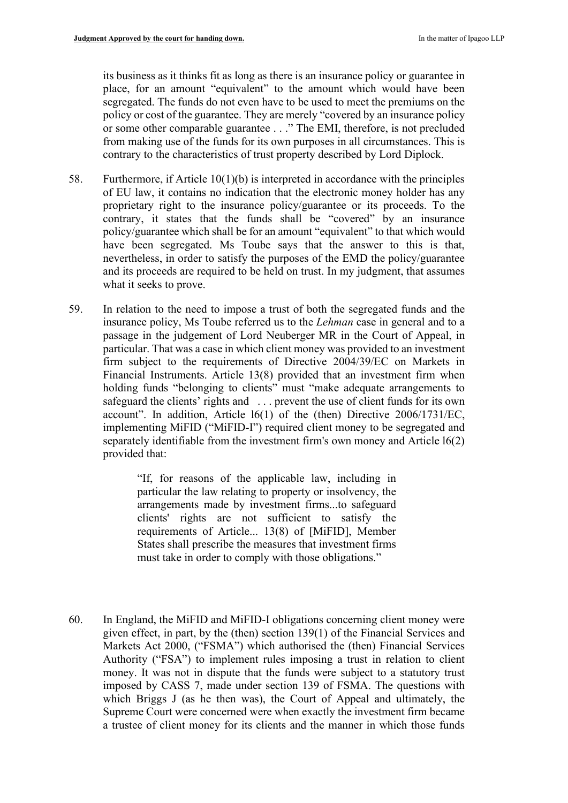its business as it thinks fit as long as there is an insurance policy or guarantee in place, for an amount "equivalent" to the amount which would have been segregated. The funds do not even have to be used to meet the premiums on the policy or cost of the guarantee. They are merely "covered by an insurance policy or some other comparable guarantee . . ." The EMI, therefore, is not precluded from making use of the funds for its own purposes in all circumstances. This is contrary to the characteristics of trust property described by Lord Diplock.

- 58. Furthermore, if Article 10(1)(b) is interpreted in accordance with the principles of EU law, it contains no indication that the electronic money holder has any proprietary right to the insurance policy/guarantee or its proceeds. To the contrary, it states that the funds shall be "covered" by an insurance policy/guarantee which shall be for an amount "equivalent" to that which would have been segregated. Ms Toube says that the answer to this is that, nevertheless, in order to satisfy the purposes of the EMD the policy/guarantee and its proceeds are required to be held on trust. In my judgment, that assumes what it seeks to prove.
- 59. In relation to the need to impose a trust of both the segregated funds and the insurance policy, Ms Toube referred us to the *Lehman* case in general and to a passage in the judgement of Lord Neuberger MR in the Court of Appeal, in particular. That was a case in which client money was provided to an investment firm subject to the requirements of Directive 2004/39/EC on Markets in Financial Instruments. Article 13(8) provided that an investment firm when holding funds "belonging to clients" must "make adequate arrangements to safeguard the clients' rights and . . . prevent the use of client funds for its own account". In addition, Article l6(1) of the (then) Directive 2006/1731/EC, implementing MiFID ("MiFID-I") required client money to be segregated and separately identifiable from the investment firm's own money and Article l6(2) provided that:

"If, for reasons of the applicable law, including in particular the law relating to property or insolvency, the arrangements made by investment firms...to safeguard clients' rights are not sufficient to satisfy the requirements of Article... 13(8) of [MiFID], Member States shall prescribe the measures that investment firms must take in order to comply with those obligations."

60. In England, the MiFID and MiFID-I obligations concerning client money were given effect, in part, by the (then) section 139(1) of the Financial Services and Markets Act 2000, ("FSMA") which authorised the (then) Financial Services Authority ("FSA") to implement rules imposing a trust in relation to client money. It was not in dispute that the funds were subject to a statutory trust imposed by CASS 7, made under section 139 of FSMA. The questions with which Briggs J (as he then was), the Court of Appeal and ultimately, the Supreme Court were concerned were when exactly the investment firm became a trustee of client money for its clients and the manner in which those funds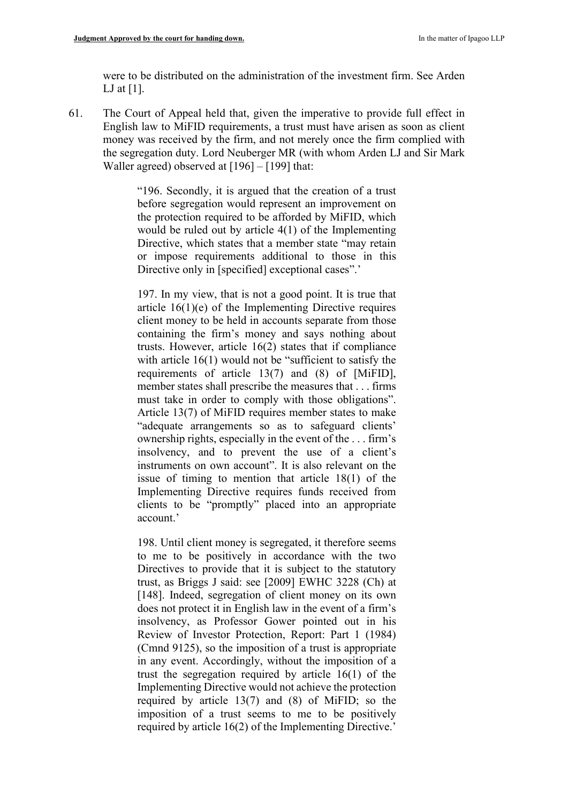were to be distributed on the administration of the investment firm. See Arden LJ at [1].

61. The Court of Appeal held that, given the imperative to provide full effect in English law to MiFID requirements, a trust must have arisen as soon as client money was received by the firm, and not merely once the firm complied with the segregation duty. Lord Neuberger MR (with whom Arden LJ and Sir Mark Waller agreed) observed at [196] – [199] that:

> "196. Secondly, it is argued that the creation of a trust before segregation would represent an improvement on the protection required to be afforded by MiFID, which would be ruled out by article 4(1) of the Implementing Directive, which states that a member state "may retain or impose requirements additional to those in this Directive only in [specified] exceptional cases".'

> 197. In my view, that is not a good point. It is true that article 16(1)(e) of the Implementing Directive requires client money to be held in accounts separate from those containing the firm's money and says nothing about trusts. However, article 16(2) states that if compliance with article 16(1) would not be "sufficient to satisfy the requirements of article 13(7) and (8) of [MiFID], member states shall prescribe the measures that . . . firms must take in order to comply with those obligations". Article 13(7) of MiFID requires member states to make "adequate arrangements so as to safeguard clients' ownership rights, especially in the event of the . . . firm's insolvency, and to prevent the use of a client's instruments on own account". It is also relevant on the issue of timing to mention that article 18(1) of the Implementing Directive requires funds received from clients to be "promptly" placed into an appropriate account.'

> 198. Until client money is segregated, it therefore seems to me to be positively in accordance with the two Directives to provide that it is subject to the statutory trust, as Briggs J said: see [2009] EWHC 3228 (Ch) at [148]. Indeed, segregation of client money on its own does not protect it in English law in the event of a firm's insolvency, as Professor Gower pointed out in his Review of Investor Protection, Report: Part 1 (1984) (Cmnd 9125), so the imposition of a trust is appropriate in any event. Accordingly, without the imposition of a trust the segregation required by article 16(1) of the Implementing Directive would not achieve the protection required by article 13(7) and (8) of MiFID; so the imposition of a trust seems to me to be positively required by article 16(2) of the Implementing Directive.'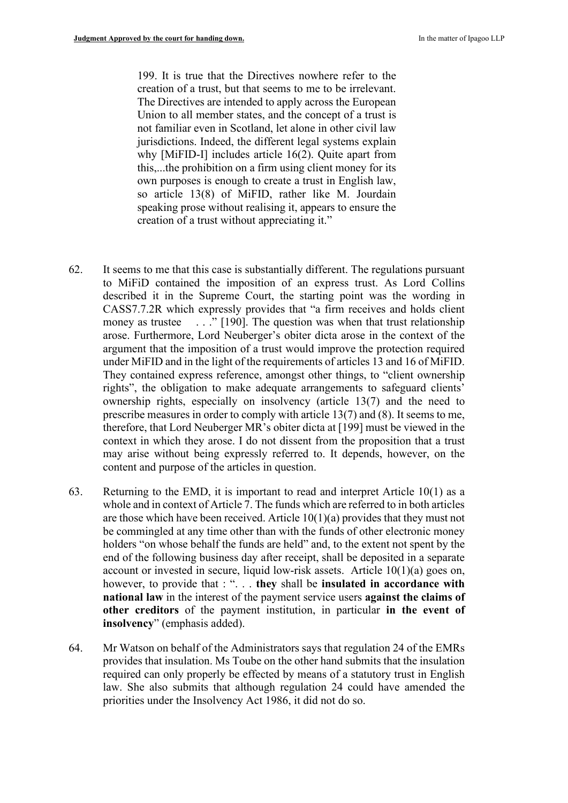199. It is true that the Directives nowhere refer to the creation of a trust, but that seems to me to be irrelevant. The Directives are intended to apply across the European Union to all member states, and the concept of a trust is not familiar even in Scotland, let alone in other civil law jurisdictions. Indeed, the different legal systems explain why [MiFID-I] includes article 16(2). Quite apart from this,...the prohibition on a firm using client money for its own purposes is enough to create a trust in English law, so article 13(8) of MiFID, rather like M. Jourdain speaking prose without realising it, appears to ensure the creation of a trust without appreciating it."

- 62. It seems to me that this case is substantially different. The regulations pursuant to MiFiD contained the imposition of an express trust. As Lord Collins described it in the Supreme Court, the starting point was the wording in CASS7.7.2R which expressly provides that "a firm receives and holds client money as trustee . . . . " [190]. The question was when that trust relationship arose. Furthermore, Lord Neuberger's obiter dicta arose in the context of the argument that the imposition of a trust would improve the protection required under MiFID and in the light of the requirements of articles 13 and 16 of MiFID. They contained express reference, amongst other things, to "client ownership rights", the obligation to make adequate arrangements to safeguard clients' ownership rights, especially on insolvency (article 13(7) and the need to prescribe measures in order to comply with article 13(7) and (8). It seems to me, therefore, that Lord Neuberger MR's obiter dicta at [199] must be viewed in the context in which they arose. I do not dissent from the proposition that a trust may arise without being expressly referred to. It depends, however, on the content and purpose of the articles in question.
- 63. Returning to the EMD, it is important to read and interpret Article  $10(1)$  as a whole and in context of Article 7. The funds which are referred to in both articles are those which have been received. Article 10(1)(a) provides that they must not be commingled at any time other than with the funds of other electronic money holders "on whose behalf the funds are held" and, to the extent not spent by the end of the following business day after receipt, shall be deposited in a separate account or invested in secure, liquid low-risk assets. Article 10(1)(a) goes on, however, to provide that : ". . . **they** shall be **insulated in accordance with national law** in the interest of the payment service users **against the claims of other creditors** of the payment institution, in particular **in the event of insolvency**" (emphasis added).
- 64. Mr Watson on behalf of the Administrators says that regulation 24 of the EMRs provides that insulation. Ms Toube on the other hand submits that the insulation required can only properly be effected by means of a statutory trust in English law. She also submits that although regulation 24 could have amended the priorities under the Insolvency Act 1986, it did not do so.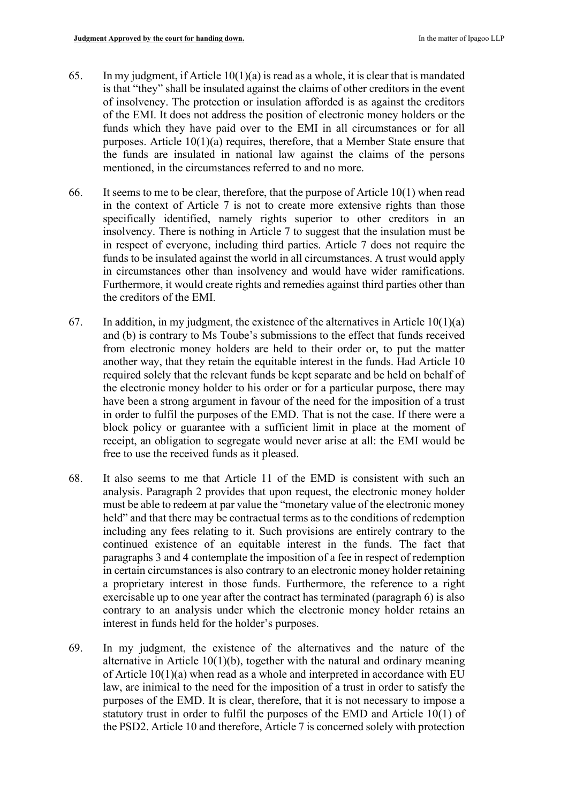- 65. In my judgment, if Article  $10(1)(a)$  is read as a whole, it is clear that is mandated is that "they" shall be insulated against the claims of other creditors in the event of insolvency. The protection or insulation afforded is as against the creditors of the EMI. It does not address the position of electronic money holders or the funds which they have paid over to the EMI in all circumstances or for all purposes. Article 10(1)(a) requires, therefore, that a Member State ensure that the funds are insulated in national law against the claims of the persons mentioned, in the circumstances referred to and no more.
- 66. It seems to me to be clear, therefore, that the purpose of Article 10(1) when read in the context of Article 7 is not to create more extensive rights than those specifically identified, namely rights superior to other creditors in an insolvency. There is nothing in Article 7 to suggest that the insulation must be in respect of everyone, including third parties. Article 7 does not require the funds to be insulated against the world in all circumstances. A trust would apply in circumstances other than insolvency and would have wider ramifications. Furthermore, it would create rights and remedies against third parties other than the creditors of the EMI.
- 67. In addition, in my judgment, the existence of the alternatives in Article  $10(1)(a)$ and (b) is contrary to Ms Toube's submissions to the effect that funds received from electronic money holders are held to their order or, to put the matter another way, that they retain the equitable interest in the funds. Had Article 10 required solely that the relevant funds be kept separate and be held on behalf of the electronic money holder to his order or for a particular purpose, there may have been a strong argument in favour of the need for the imposition of a trust in order to fulfil the purposes of the EMD. That is not the case. If there were a block policy or guarantee with a sufficient limit in place at the moment of receipt, an obligation to segregate would never arise at all: the EMI would be free to use the received funds as it pleased.
- 68. It also seems to me that Article 11 of the EMD is consistent with such an analysis. Paragraph 2 provides that upon request, the electronic money holder must be able to redeem at par value the "monetary value of the electronic money held" and that there may be contractual terms as to the conditions of redemption including any fees relating to it. Such provisions are entirely contrary to the continued existence of an equitable interest in the funds. The fact that paragraphs 3 and 4 contemplate the imposition of a fee in respect of redemption in certain circumstances is also contrary to an electronic money holder retaining a proprietary interest in those funds. Furthermore, the reference to a right exercisable up to one year after the contract has terminated (paragraph 6) is also contrary to an analysis under which the electronic money holder retains an interest in funds held for the holder's purposes.
- 69. In my judgment, the existence of the alternatives and the nature of the alternative in Article 10(1)(b), together with the natural and ordinary meaning of Article 10(1)(a) when read as a whole and interpreted in accordance with EU law, are inimical to the need for the imposition of a trust in order to satisfy the purposes of the EMD. It is clear, therefore, that it is not necessary to impose a statutory trust in order to fulfil the purposes of the EMD and Article 10(1) of the PSD2. Article 10 and therefore, Article 7 is concerned solely with protection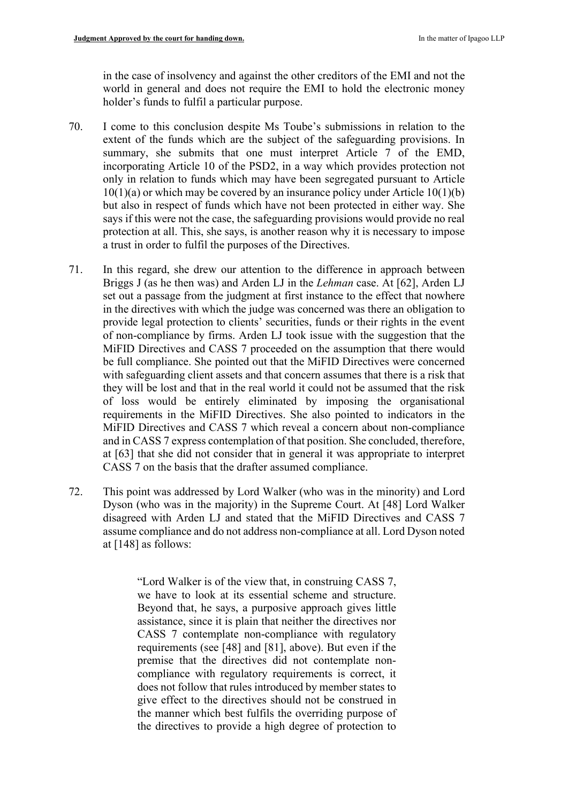in the case of insolvency and against the other creditors of the EMI and not the world in general and does not require the EMI to hold the electronic money holder's funds to fulfil a particular purpose.

- 70. I come to this conclusion despite Ms Toube's submissions in relation to the extent of the funds which are the subject of the safeguarding provisions. In summary, she submits that one must interpret Article 7 of the EMD, incorporating Article 10 of the PSD2, in a way which provides protection not only in relation to funds which may have been segregated pursuant to Article  $10(1)(a)$  or which may be covered by an insurance policy under Article  $10(1)(b)$ but also in respect of funds which have not been protected in either way. She says if this were not the case, the safeguarding provisions would provide no real protection at all. This, she says, is another reason why it is necessary to impose a trust in order to fulfil the purposes of the Directives.
- 71. In this regard, she drew our attention to the difference in approach between Briggs J (as he then was) and Arden LJ in the *Lehman* case. At [62], Arden LJ set out a passage from the judgment at first instance to the effect that nowhere in the directives with which the judge was concerned was there an obligation to provide legal protection to clients' securities, funds or their rights in the event of non-compliance by firms. Arden LJ took issue with the suggestion that the MiFID Directives and CASS 7 proceeded on the assumption that there would be full compliance. She pointed out that the MiFID Directives were concerned with safeguarding client assets and that concern assumes that there is a risk that they will be lost and that in the real world it could not be assumed that the risk of loss would be entirely eliminated by imposing the organisational requirements in the MiFID Directives. She also pointed to indicators in the MiFID Directives and CASS 7 which reveal a concern about non-compliance and in CASS 7 express contemplation of that position. She concluded, therefore, at [63] that she did not consider that in general it was appropriate to interpret CASS 7 on the basis that the drafter assumed compliance.
- 72. This point was addressed by Lord Walker (who was in the minority) and Lord Dyson (who was in the majority) in the Supreme Court. At [48] Lord Walker disagreed with Arden LJ and stated that the MiFID Directives and CASS 7 assume compliance and do not address non-compliance at all. Lord Dyson noted at [148] as follows:

"Lord Walker is of the view that, in construing CASS 7, we have to look at its essential scheme and structure. Beyond that, he says, a purposive approach gives little assistance, since it is plain that neither the directives nor CASS 7 contemplate non-compliance with regulatory requirements (see [48] and [81], above). But even if the premise that the directives did not contemplate noncompliance with regulatory requirements is correct, it does not follow that rules introduced by member states to give effect to the directives should not be construed in the manner which best fulfils the overriding purpose of the directives to provide a high degree of protection to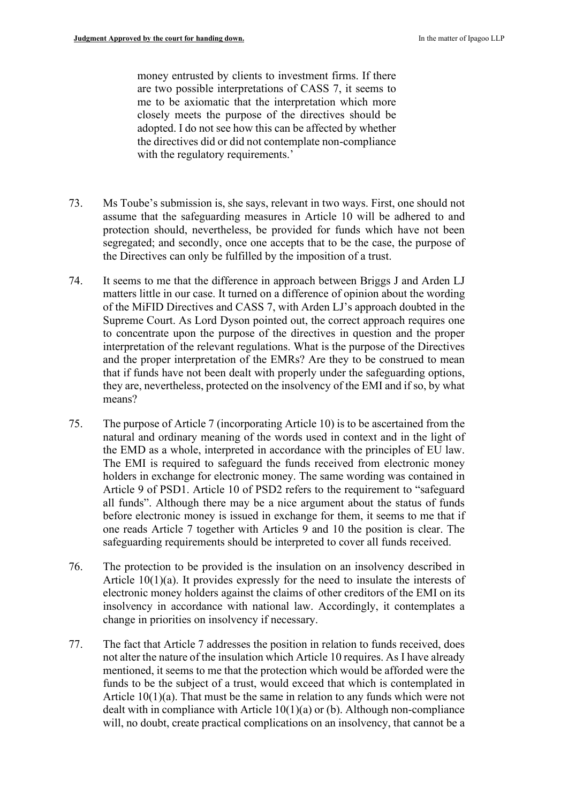money entrusted by clients to investment firms. If there are two possible interpretations of CASS 7, it seems to me to be axiomatic that the interpretation which more closely meets the purpose of the directives should be adopted. I do not see how this can be affected by whether the directives did or did not contemplate non-compliance with the regulatory requirements.'

- 73. Ms Toube's submission is, she says, relevant in two ways. First, one should not assume that the safeguarding measures in Article 10 will be adhered to and protection should, nevertheless, be provided for funds which have not been segregated; and secondly, once one accepts that to be the case, the purpose of the Directives can only be fulfilled by the imposition of a trust.
- 74. It seems to me that the difference in approach between Briggs J and Arden LJ matters little in our case. It turned on a difference of opinion about the wording of the MiFID Directives and CASS 7, with Arden LJ's approach doubted in the Supreme Court. As Lord Dyson pointed out, the correct approach requires one to concentrate upon the purpose of the directives in question and the proper interpretation of the relevant regulations. What is the purpose of the Directives and the proper interpretation of the EMRs? Are they to be construed to mean that if funds have not been dealt with properly under the safeguarding options, they are, nevertheless, protected on the insolvency of the EMI and if so, by what means?
- 75. The purpose of Article 7 (incorporating Article 10) is to be ascertained from the natural and ordinary meaning of the words used in context and in the light of the EMD as a whole, interpreted in accordance with the principles of EU law. The EMI is required to safeguard the funds received from electronic money holders in exchange for electronic money. The same wording was contained in Article 9 of PSD1. Article 10 of PSD2 refers to the requirement to "safeguard all funds". Although there may be a nice argument about the status of funds before electronic money is issued in exchange for them, it seems to me that if one reads Article 7 together with Articles 9 and 10 the position is clear. The safeguarding requirements should be interpreted to cover all funds received.
- 76. The protection to be provided is the insulation on an insolvency described in Article 10(1)(a). It provides expressly for the need to insulate the interests of electronic money holders against the claims of other creditors of the EMI on its insolvency in accordance with national law. Accordingly, it contemplates a change in priorities on insolvency if necessary.
- 77. The fact that Article 7 addresses the position in relation to funds received, does not alter the nature of the insulation which Article 10 requires. As I have already mentioned, it seems to me that the protection which would be afforded were the funds to be the subject of a trust, would exceed that which is contemplated in Article 10(1)(a). That must be the same in relation to any funds which were not dealt with in compliance with Article 10(1)(a) or (b). Although non-compliance will, no doubt, create practical complications on an insolvency, that cannot be a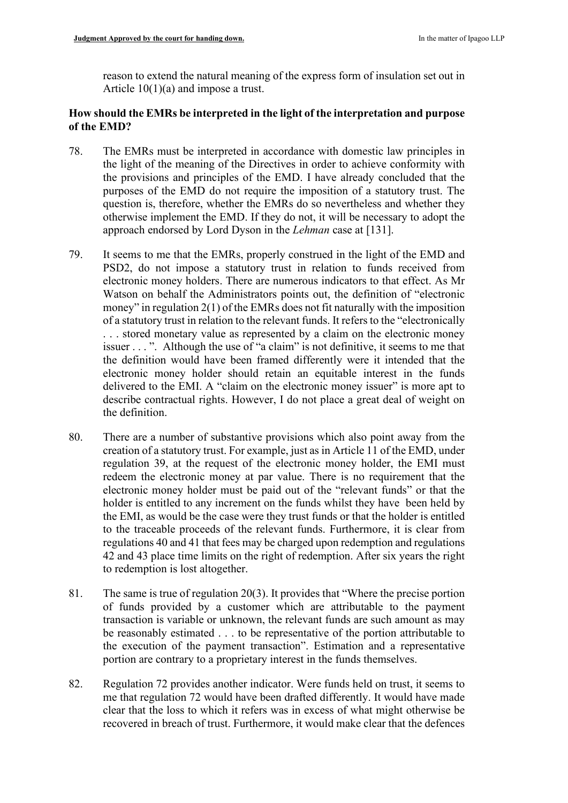reason to extend the natural meaning of the express form of insulation set out in Article 10(1)(a) and impose a trust.

## **How should the EMRs be interpreted in the light of the interpretation and purpose of the EMD?**

- 78. The EMRs must be interpreted in accordance with domestic law principles in the light of the meaning of the Directives in order to achieve conformity with the provisions and principles of the EMD. I have already concluded that the purposes of the EMD do not require the imposition of a statutory trust. The question is, therefore, whether the EMRs do so nevertheless and whether they otherwise implement the EMD. If they do not, it will be necessary to adopt the approach endorsed by Lord Dyson in the *Lehman* case at [131].
- 79. It seems to me that the EMRs, properly construed in the light of the EMD and PSD2, do not impose a statutory trust in relation to funds received from electronic money holders. There are numerous indicators to that effect. As Mr Watson on behalf the Administrators points out, the definition of "electronic money" in regulation 2(1) of the EMRs does not fit naturally with the imposition of a statutory trust in relation to the relevant funds. It refers to the "electronically . . . stored monetary value as represented by a claim on the electronic money issuer . . . ". Although the use of "a claim" is not definitive, it seems to me that the definition would have been framed differently were it intended that the electronic money holder should retain an equitable interest in the funds delivered to the EMI. A "claim on the electronic money issuer" is more apt to describe contractual rights. However, I do not place a great deal of weight on the definition.
- 80. There are a number of substantive provisions which also point away from the creation of a statutory trust. For example, just as in Article 11 of the EMD, under regulation 39, at the request of the electronic money holder, the EMI must redeem the electronic money at par value. There is no requirement that the electronic money holder must be paid out of the "relevant funds" or that the holder is entitled to any increment on the funds whilst they have been held by the EMI, as would be the case were they trust funds or that the holder is entitled to the traceable proceeds of the relevant funds. Furthermore, it is clear from regulations 40 and 41 that fees may be charged upon redemption and regulations 42 and 43 place time limits on the right of redemption. After six years the right to redemption is lost altogether.
- 81. The same is true of regulation 20(3). It provides that "Where the precise portion of funds provided by a customer which are attributable to the payment transaction is variable or unknown, the relevant funds are such amount as may be reasonably estimated . . . to be representative of the portion attributable to the execution of the payment transaction". Estimation and a representative portion are contrary to a proprietary interest in the funds themselves.
- 82. Regulation 72 provides another indicator. Were funds held on trust, it seems to me that regulation 72 would have been drafted differently. It would have made clear that the loss to which it refers was in excess of what might otherwise be recovered in breach of trust. Furthermore, it would make clear that the defences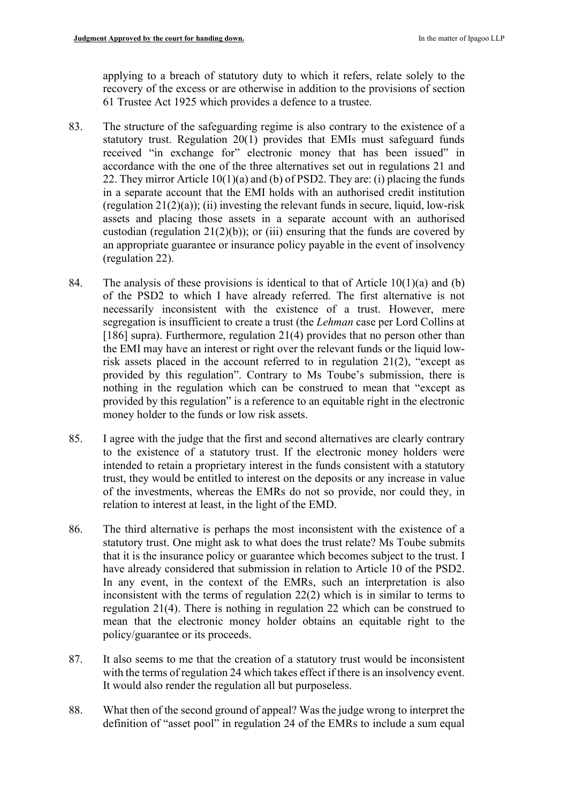applying to a breach of statutory duty to which it refers, relate solely to the recovery of the excess or are otherwise in addition to the provisions of section 61 Trustee Act 1925 which provides a defence to a trustee.

- 83. The structure of the safeguarding regime is also contrary to the existence of a statutory trust. Regulation 20(1) provides that EMIs must safeguard funds received "in exchange for" electronic money that has been issued" in accordance with the one of the three alternatives set out in regulations 21 and 22. They mirror Article 10(1)(a) and (b) of PSD2. They are: (i) placing the funds in a separate account that the EMI holds with an authorised credit institution (regulation  $21(2)(a)$ ); (ii) investing the relevant funds in secure, liquid, low-risk assets and placing those assets in a separate account with an authorised custodian (regulation  $21(2)(b)$ ); or (iii) ensuring that the funds are covered by an appropriate guarantee or insurance policy payable in the event of insolvency (regulation 22).
- 84. The analysis of these provisions is identical to that of Article  $10(1)(a)$  and (b) of the PSD2 to which I have already referred. The first alternative is not necessarily inconsistent with the existence of a trust. However, mere segregation is insufficient to create a trust (the *Lehman* case per Lord Collins at [186] supra). Furthermore, regulation  $21(4)$  provides that no person other than the EMI may have an interest or right over the relevant funds or the liquid lowrisk assets placed in the account referred to in regulation 21(2), "except as provided by this regulation". Contrary to Ms Toube's submission, there is nothing in the regulation which can be construed to mean that "except as provided by this regulation" is a reference to an equitable right in the electronic money holder to the funds or low risk assets.
- 85. I agree with the judge that the first and second alternatives are clearly contrary to the existence of a statutory trust. If the electronic money holders were intended to retain a proprietary interest in the funds consistent with a statutory trust, they would be entitled to interest on the deposits or any increase in value of the investments, whereas the EMRs do not so provide, nor could they, in relation to interest at least, in the light of the EMD.
- 86. The third alternative is perhaps the most inconsistent with the existence of a statutory trust. One might ask to what does the trust relate? Ms Toube submits that it is the insurance policy or guarantee which becomes subject to the trust. I have already considered that submission in relation to Article 10 of the PSD2. In any event, in the context of the EMRs, such an interpretation is also inconsistent with the terms of regulation 22(2) which is in similar to terms to regulation 21(4). There is nothing in regulation 22 which can be construed to mean that the electronic money holder obtains an equitable right to the policy/guarantee or its proceeds.
- 87. It also seems to me that the creation of a statutory trust would be inconsistent with the terms of regulation 24 which takes effect if there is an insolvency event. It would also render the regulation all but purposeless.
- 88. What then of the second ground of appeal? Was the judge wrong to interpret the definition of "asset pool" in regulation 24 of the EMRs to include a sum equal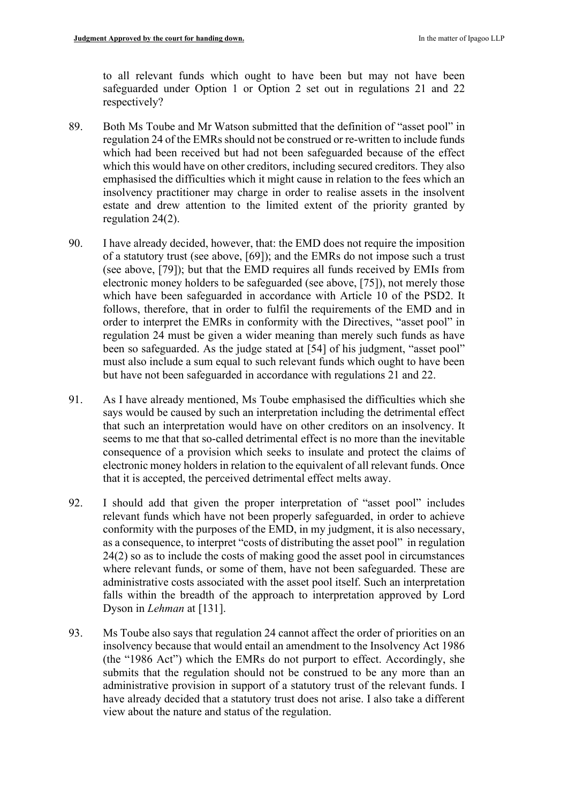to all relevant funds which ought to have been but may not have been safeguarded under Option 1 or Option 2 set out in regulations 21 and 22 respectively?

- 89. Both Ms Toube and Mr Watson submitted that the definition of "asset pool" in regulation 24 of the EMRs should not be construed or re-written to include funds which had been received but had not been safeguarded because of the effect which this would have on other creditors, including secured creditors. They also emphasised the difficulties which it might cause in relation to the fees which an insolvency practitioner may charge in order to realise assets in the insolvent estate and drew attention to the limited extent of the priority granted by regulation 24(2).
- 90. I have already decided, however, that: the EMD does not require the imposition of a statutory trust (see above, [69]); and the EMRs do not impose such a trust (see above, [79]); but that the EMD requires all funds received by EMIs from electronic money holders to be safeguarded (see above, [75]), not merely those which have been safeguarded in accordance with Article 10 of the PSD2. It follows, therefore, that in order to fulfil the requirements of the EMD and in order to interpret the EMRs in conformity with the Directives, "asset pool" in regulation 24 must be given a wider meaning than merely such funds as have been so safeguarded. As the judge stated at [54] of his judgment, "asset pool" must also include a sum equal to such relevant funds which ought to have been but have not been safeguarded in accordance with regulations 21 and 22.
- 91. As I have already mentioned, Ms Toube emphasised the difficulties which she says would be caused by such an interpretation including the detrimental effect that such an interpretation would have on other creditors on an insolvency. It seems to me that that so-called detrimental effect is no more than the inevitable consequence of a provision which seeks to insulate and protect the claims of electronic money holders in relation to the equivalent of all relevant funds. Once that it is accepted, the perceived detrimental effect melts away.
- 92. I should add that given the proper interpretation of "asset pool" includes relevant funds which have not been properly safeguarded, in order to achieve conformity with the purposes of the EMD, in my judgment, it is also necessary, as a consequence, to interpret "costs of distributing the asset pool" in regulation 24(2) so as to include the costs of making good the asset pool in circumstances where relevant funds, or some of them, have not been safeguarded. These are administrative costs associated with the asset pool itself. Such an interpretation falls within the breadth of the approach to interpretation approved by Lord Dyson in *Lehman* at [131].
- 93. Ms Toube also says that regulation 24 cannot affect the order of priorities on an insolvency because that would entail an amendment to the Insolvency Act 1986 (the "1986 Act") which the EMRs do not purport to effect. Accordingly, she submits that the regulation should not be construed to be any more than an administrative provision in support of a statutory trust of the relevant funds. I have already decided that a statutory trust does not arise. I also take a different view about the nature and status of the regulation.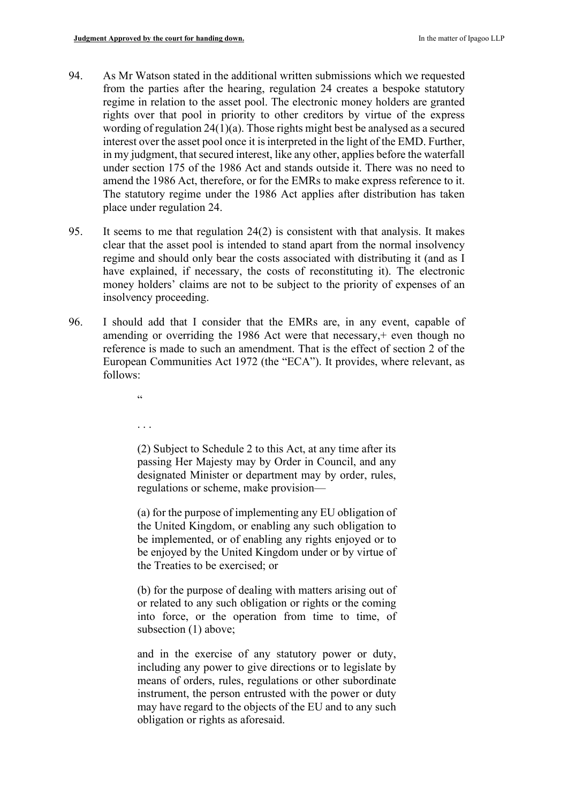- 94. As Mr Watson stated in the additional written submissions which we requested from the parties after the hearing, regulation 24 creates a bespoke statutory regime in relation to the asset pool. The electronic money holders are granted rights over that pool in priority to other creditors by virtue of the express wording of regulation 24(1)(a). Those rights might best be analysed as a secured interest over the asset pool once it isinterpreted in the light of the EMD. Further, in my judgment, that secured interest, like any other, applies before the waterfall under section 175 of the 1986 Act and stands outside it. There was no need to amend the 1986 Act, therefore, or for the EMRs to make express reference to it. The statutory regime under the 1986 Act applies after distribution has taken place under regulation 24.
- 95. It seems to me that regulation 24(2) is consistent with that analysis. It makes clear that the asset pool is intended to stand apart from the normal insolvency regime and should only bear the costs associated with distributing it (and as I have explained, if necessary, the costs of reconstituting it). The electronic money holders' claims are not to be subject to the priority of expenses of an insolvency proceeding.
- 96. I should add that I consider that the EMRs are, in any event, capable of amending or overriding the 1986 Act were that necessary,+ even though no reference is made to such an amendment. That is the effect of section 2 of the European Communities Act 1972 (the "ECA"). It provides, where relevant, as follows:

 $\epsilon$ 

. . .

(2) Subject to Schedule 2 to this Act, at any time after its passing Her Majesty may by Order in Council, and any designated Minister or department may by order, rules, regulations or scheme, make provision—

(a) for the purpose of implementing any EU obligation of the United Kingdom, or enabling any such obligation to be implemented, or of enabling any rights enjoyed or to be enjoyed by the United Kingdom under or by virtue of the Treaties to be exercised; or

(b) for the purpose of dealing with matters arising out of or related to any such obligation or rights or the coming into force, or the operation from time to time, of subsection (1) above;

and in the exercise of any statutory power or duty, including any power to give directions or to legislate by means of orders, rules, regulations or other subordinate instrument, the person entrusted with the power or duty may have regard to the objects of the EU and to any such obligation or rights as aforesaid.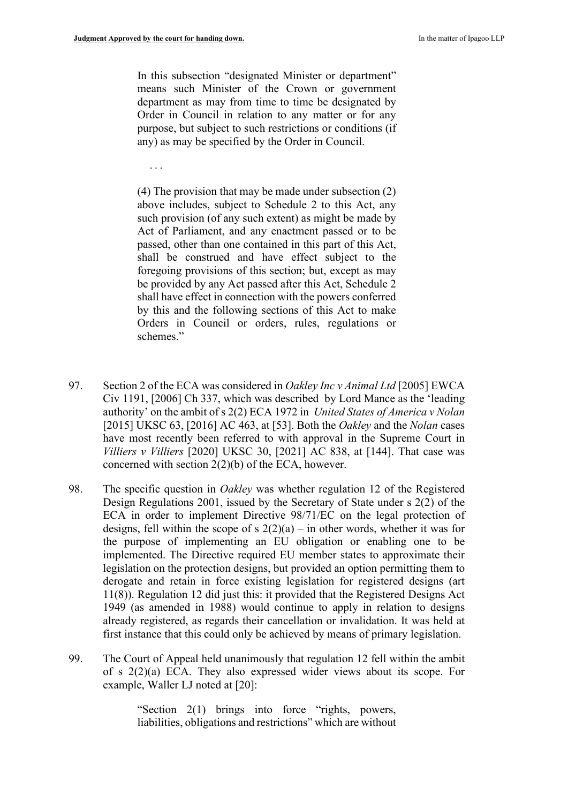In this subsection "designated Minister or department" means such Minister of the Crown or government department as may from time to time be designated by Order in Council in relation to any matter or for any purpose, but subject to such restrictions or conditions (if any) as may be specified by the Order in Council.

. . .

(4) The provision that may be made under subsection (2) above includes, subject to Schedule 2 to this Act, any such provision (of any such extent) as might be made by Act of Parliament, and any enactment passed or to be passed, other than one contained in this part of this Act, shall be construed and have effect subject to the foregoing provisions of this section; but, except as may be provided by any Act passed after this Act, Schedule 2 shall have effect in connection with the powers conferred by this and the following sections of this Act to make Orders in Council or orders, rules, regulations or schemes."

- 97. Section 2 of the ECA was considered in *Oakley Inc v Animal Ltd* [2005] EWCA Civ 1191, [2006] Ch 337, which was described by Lord Mance as the 'leading authority' on the ambit of s 2(2) ECA 1972 in *United States of America v Nolan*  [2015] UKSC 63, [2016] AC 463, at [53]. Both the *Oakley* and the *Nolan* cases have most recently been referred to with approval in the Supreme Court in *Villiers v Villiers* [2020] UKSC 30, [2021] AC 838, at [144]. That case was concerned with section 2(2)(b) of the ECA, however.
- 98. The specific question in *Oakley* was whether regulation 12 of the Registered Design Regulations 2001, issued by the Secretary of State under s 2(2) of the ECA in order to implement Directive 98/71/EC on the legal protection of designs, fell within the scope of s  $2(2)(a)$  – in other words, whether it was for the purpose of implementing an EU obligation or enabling one to be implemented. The Directive required EU member states to approximate their legislation on the protection designs, but provided an option permitting them to derogate and retain in force existing legislation for registered designs (art 11(8)). Regulation 12 did just this: it provided that the Registered Designs Act 1949 (as amended in 1988) would continue to apply in relation to designs already registered, as regards their cancellation or invalidation. It was held at first instance that this could only be achieved by means of primary legislation.
- 99. The Court of Appeal held unanimously that regulation 12 fell within the ambit of s 2(2)(a) ECA. They also expressed wider views about its scope. For example, Waller LJ noted at [20]:

"Section 2(1) brings into force "rights, powers, liabilities, obligations and restrictions" which are without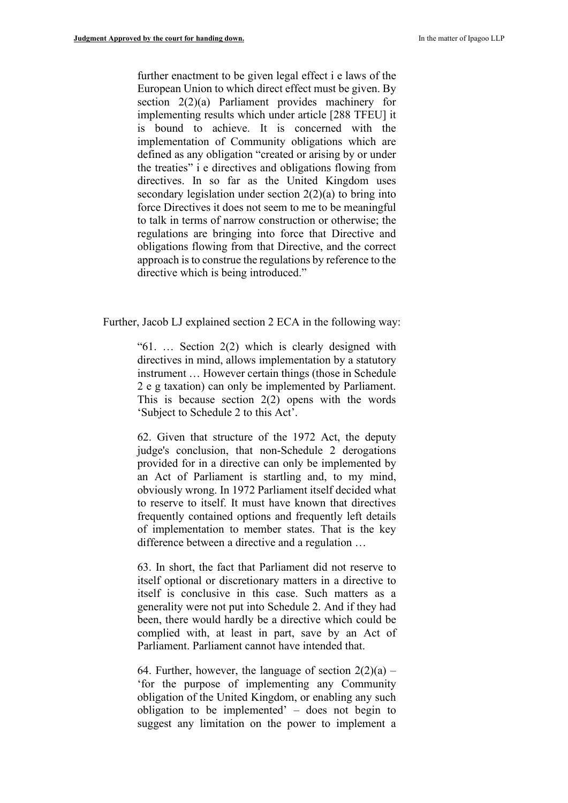further enactment to be given legal effect i e laws of the European Union to which direct effect must be given. By section 2(2)(a) Parliament provides machinery for implementing results which under article [288 TFEU] it is bound to achieve. It is concerned with the implementation of Community obligations which are defined as any obligation "created or arising by or under the treaties" i e directives and obligations flowing from directives. In so far as the United Kingdom uses secondary legislation under section 2(2)(a) to bring into force Directives it does not seem to me to be meaningful to talk in terms of narrow construction or otherwise; the regulations are bringing into force that Directive and obligations flowing from that Directive, and the correct approach is to construe the regulations by reference to the directive which is being introduced."

Further, Jacob LJ explained section 2 ECA in the following way:

"61. … Section 2(2) which is clearly designed with directives in mind, allows implementation by a statutory instrument … However certain things (those in Schedule 2 e g taxation) can only be implemented by Parliament. This is because section  $2(2)$  opens with the words 'Subject to Schedule 2 to this Act'.

62. Given that structure of the 1972 Act, the deputy judge's conclusion, that non-Schedule 2 derogations provided for in a directive can only be implemented by an Act of Parliament is startling and, to my mind, obviously wrong. In 1972 Parliament itself decided what to reserve to itself. It must have known that directives frequently contained options and frequently left details of implementation to member states. That is the key difference between a directive and a regulation …

63. In short, the fact that Parliament did not reserve to itself optional or discretionary matters in a directive to itself is conclusive in this case. Such matters as a generality were not put into Schedule 2. And if they had been, there would hardly be a directive which could be complied with, at least in part, save by an Act of Parliament. Parliament cannot have intended that.

64. Further, however, the language of section  $2(2)(a)$  – 'for the purpose of implementing any Community obligation of the United Kingdom, or enabling any such obligation to be implemented' – does not begin to suggest any limitation on the power to implement a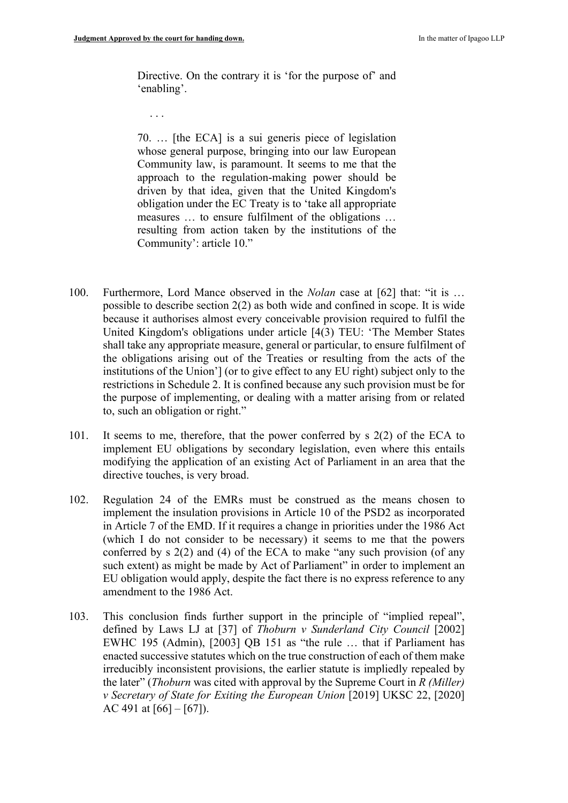. . .

Directive. On the contrary it is 'for the purpose of' and 'enabling'.

70. … [the ECA] is a sui generis piece of legislation whose general purpose, bringing into our law European Community law, is paramount. It seems to me that the approach to the regulation-making power should be driven by that idea, given that the United Kingdom's obligation under the EC Treaty is to 'take all appropriate measures … to ensure fulfilment of the obligations … resulting from action taken by the institutions of the Community': article 10."

- 100. Furthermore, Lord Mance observed in the *Nolan* case at [62] that: "it is … possible to describe section 2(2) as both wide and confined in scope. It is wide because it authorises almost every conceivable provision required to fulfil the United Kingdom's obligations under article [4(3) TEU: 'The Member States shall take any appropriate measure, general or particular, to ensure fulfilment of the obligations arising out of the Treaties or resulting from the acts of the institutions of the Union'] (or to give effect to any EU right) subject only to the restrictions in Schedule 2. It is confined because any such provision must be for the purpose of implementing, or dealing with a matter arising from or related to, such an obligation or right."
- 101. It seems to me, therefore, that the power conferred by s 2(2) of the ECA to implement EU obligations by secondary legislation, even where this entails modifying the application of an existing Act of Parliament in an area that the directive touches, is very broad.
- 102. Regulation 24 of the EMRs must be construed as the means chosen to implement the insulation provisions in Article 10 of the PSD2 as incorporated in Article 7 of the EMD. If it requires a change in priorities under the 1986 Act (which I do not consider to be necessary) it seems to me that the powers conferred by s 2(2) and (4) of the ECA to make "any such provision (of any such extent) as might be made by Act of Parliament" in order to implement an EU obligation would apply, despite the fact there is no express reference to any amendment to the 1986 Act.
- 103. This conclusion finds further support in the principle of "implied repeal", defined by Laws LJ at [37] of *Thoburn v Sunderland City Council* [2002] EWHC 195 (Admin), [2003] QB 151 as "the rule … that if Parliament has enacted successive statutes which on the true construction of each of them make irreducibly inconsistent provisions, the earlier statute is impliedly repealed by the later" (*Thoburn* was cited with approval by the Supreme Court in *R (Miller) v Secretary of State for Exiting the European Union* [2019] UKSC 22, [2020] AC 491 at  $[66] - [67]$ .